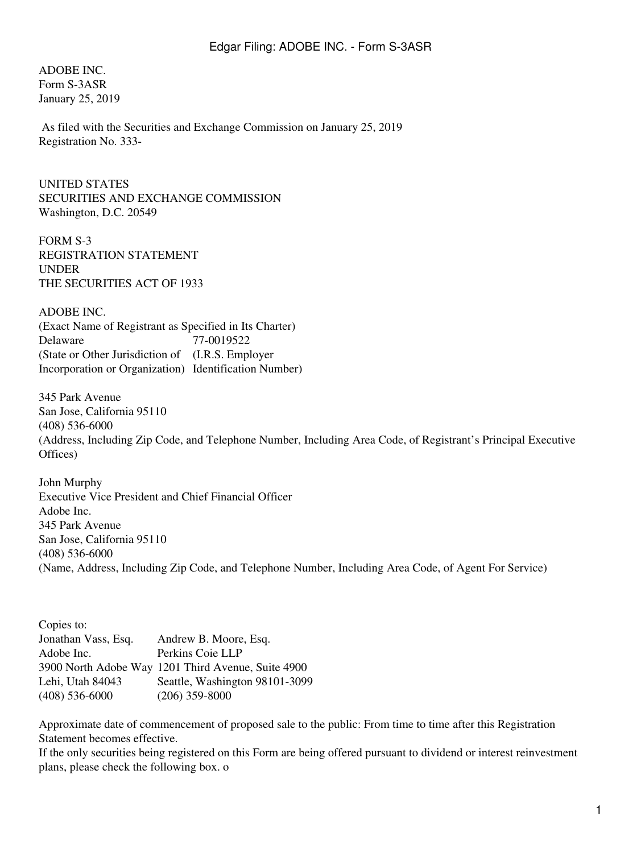ADOBE INC. Form S-3ASR January 25, 2019

 As filed with the Securities and Exchange Commission on January 25, 2019 Registration No. 333-

UNITED STATES SECURITIES AND EXCHANGE COMMISSION Washington, D.C. 20549

FORM S-3 REGISTRATION STATEMENT UNDER THE SECURITIES ACT OF 1933

ADOBE INC. (Exact Name of Registrant as Specified in Its Charter) Delaware (State or Other Jurisdiction of (I.R.S. Employer Incorporation or Organization) Identification Number) 77-0019522

345 Park Avenue San Jose, California 95110 (408) 536-6000 (Address, Including Zip Code, and Telephone Number, Including Area Code, of Registrant's Principal Executive Offices)

John Murphy Executive Vice President and Chief Financial Officer Adobe Inc. 345 Park Avenue San Jose, California 95110 (408) 536-6000 (Name, Address, Including Zip Code, and Telephone Number, Including Area Code, of Agent For Service)

| Copies to:          |                                                    |
|---------------------|----------------------------------------------------|
| Jonathan Vass, Esq. | Andrew B. Moore, Esq.                              |
| Adobe Inc.          | Perkins Coie LLP                                   |
|                     | 3900 North Adobe Way 1201 Third Avenue, Suite 4900 |
| Lehi, Utah 84043    | Seattle, Washington 98101-3099                     |
| $(408)$ 536-6000    | $(206)$ 359-8000                                   |

Approximate date of commencement of proposed sale to the public: From time to time after this Registration Statement becomes effective.

If the only securities being registered on this Form are being offered pursuant to dividend or interest reinvestment plans, please check the following box. o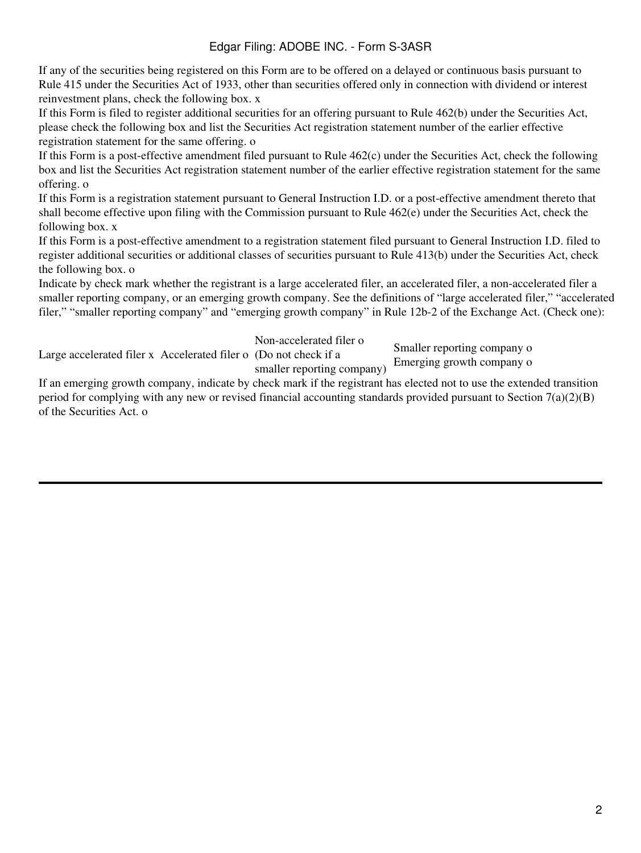If any of the securities being registered on this Form are to be offered on a delayed or continuous basis pursuant to Rule 415 under the Securities Act of 1933, other than securities offered only in connection with dividend or interest reinvestment plans, check the following box. x

If this Form is filed to register additional securities for an offering pursuant to Rule 462(b) under the Securities Act, please check the following box and list the Securities Act registration statement number of the earlier effective registration statement for the same offering. o

If this Form is a post-effective amendment filed pursuant to Rule 462(c) under the Securities Act, check the following box and list the Securities Act registration statement number of the earlier effective registration statement for the same offering. o

If this Form is a registration statement pursuant to General Instruction I.D. or a post-effective amendment thereto that shall become effective upon filing with the Commission pursuant to Rule 462(e) under the Securities Act, check the following box. x

If this Form is a post-effective amendment to a registration statement filed pursuant to General Instruction I.D. filed to register additional securities or additional classes of securities pursuant to Rule 413(b) under the Securities Act, check the following box. o

Indicate by check mark whether the registrant is a large accelerated filer, an accelerated filer, a non-accelerated filer a smaller reporting company, or an emerging growth company. See the definitions of "large accelerated filer," "accelerated filer," "smaller reporting company" and "emerging growth company" in Rule 12b-2 of the Exchange Act. (Check one):

Non-accelerated filer o

Large accelerated filer x Accelerated filer o (Do not check if a smaller reporting company)

Smaller reporting company o Emerging growth company o

If an emerging growth company, indicate by check mark if the registrant has elected not to use the extended transition period for complying with any new or revised financial accounting standards provided pursuant to Section  $7(a)(2)(B)$ of the Securities Act. o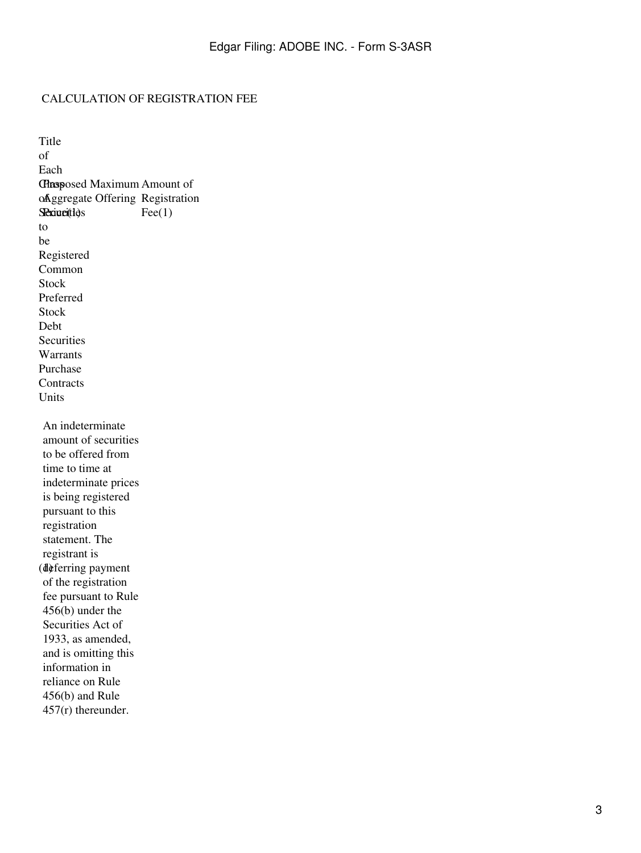#### CALCULATION OF REGISTRATION FEE

Title of Each Chasposed Maximum Amount of of Aggregate Offering Registration **Securities** to be Registered  $\text{Fee}(1)$ Common Stock Preferred Stock Debt **Securities** Warrants Purchase **Contracts** Units (1) deferring payment An indeterminate amount of securities to be offered from time to time at indeterminate prices is being registered pursuant to this registration statement. The registrant is of the registration fee pursuant to Rule 456(b) under the Securities Act of 1933, as amended, and is omitting this information in reliance on Rule 456(b) and Rule 457(r) thereunder.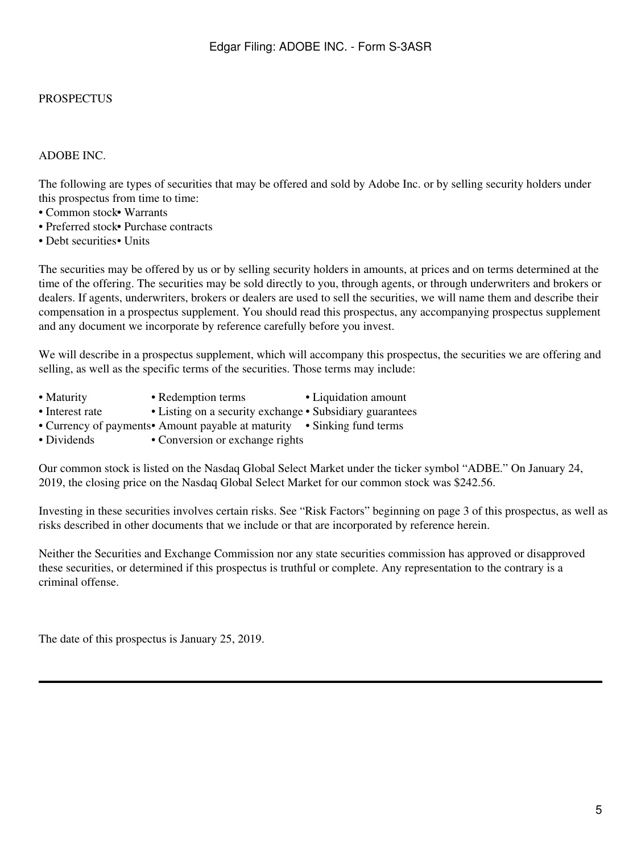#### PROSPECTUS

#### ADOBE INC.

The following are types of securities that may be offered and sold by Adobe Inc. or by selling security holders under this prospectus from time to time:

- Common stock• Warrants
- Preferred stock• Purchase contracts
- Debt securities• Units

The securities may be offered by us or by selling security holders in amounts, at prices and on terms determined at the time of the offering. The securities may be sold directly to you, through agents, or through underwriters and brokers or dealers. If agents, underwriters, brokers or dealers are used to sell the securities, we will name them and describe their compensation in a prospectus supplement. You should read this prospectus, any accompanying prospectus supplement and any document we incorporate by reference carefully before you invest.

We will describe in a prospectus supplement, which will accompany this prospectus, the securities we are offering and selling, as well as the specific terms of the securities. Those terms may include:

- Maturity Redemption terms Liquidation amount
- Interest rate Listing on a security exchange Subsidiary guarantees
- Currency of payments• Amount payable at maturity Sinking fund terms
- Dividends Conversion or exchange rights

Our common stock is listed on the Nasdaq Global Select Market under the ticker symbol "ADBE." On January 24, 2019, the closing price on the Nasdaq Global Select Market for our common stock was \$242.56.

Investing in these securities involves certain risks. See "Risk Factors" beginning on page 3 of this prospectus, as well as risks described in other documents that we include or that are incorporated by reference herein.

Neither the Securities and Exchange Commission nor any state securities commission has approved or disapproved these securities, or determined if this prospectus is truthful or complete. Any representation to the contrary is a criminal offense.

The date of this prospectus is January 25, 2019.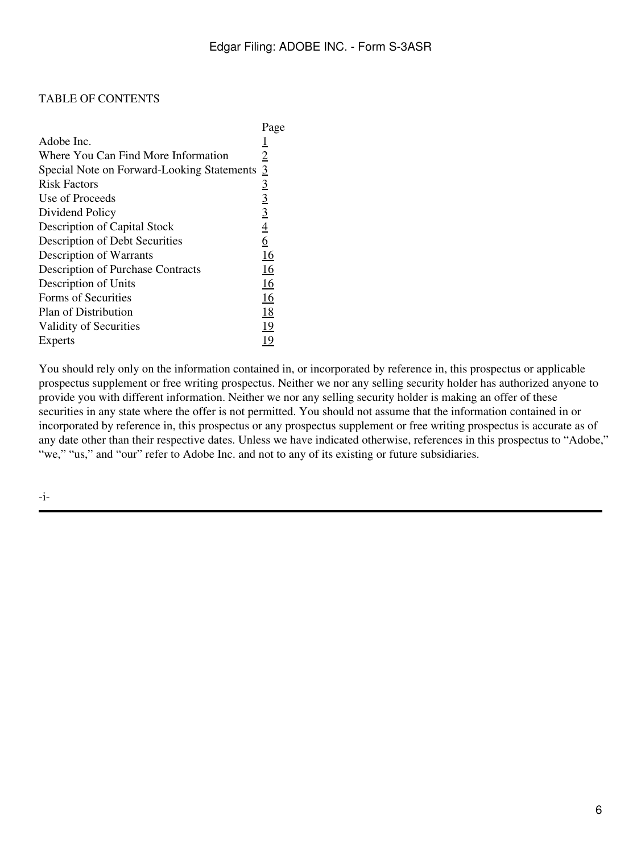#### TABLE OF CONTENTS

|                                            | Page           |
|--------------------------------------------|----------------|
| Adobe Inc.                                 | 1              |
| Where You Can Find More Information        | $\overline{2}$ |
| Special Note on Forward-Looking Statements | $\overline{3}$ |
| <b>Risk Factors</b>                        |                |
| Use of Proceeds                            | $\frac{3}{3}$  |
| Dividend Policy                            | $\overline{3}$ |
| Description of Capital Stock               | $\frac{4}{6}$  |
| Description of Debt Securities             |                |
| Description of Warrants                    | 16             |
| <b>Description of Purchase Contracts</b>   | <u>16</u>      |
| Description of Units                       | 16             |
| Forms of Securities                        | 16             |
| Plan of Distribution                       | <u>18</u>      |
| Validity of Securities                     | 19             |
| Experts                                    | 19             |

You should rely only on the information contained in, or incorporated by reference in, this prospectus or applicable prospectus supplement or free writing prospectus. Neither we nor any selling security holder has authorized anyone to provide you with different information. Neither we nor any selling security holder is making an offer of these securities in any state where the offer is not permitted. You should not assume that the information contained in or incorporated by reference in, this prospectus or any prospectus supplement or free writing prospectus is accurate as of any date other than their respective dates. Unless we have indicated otherwise, references in this prospectus to "Adobe," "we," "us," and "our" refer to Adobe Inc. and not to any of its existing or future subsidiaries.

-i-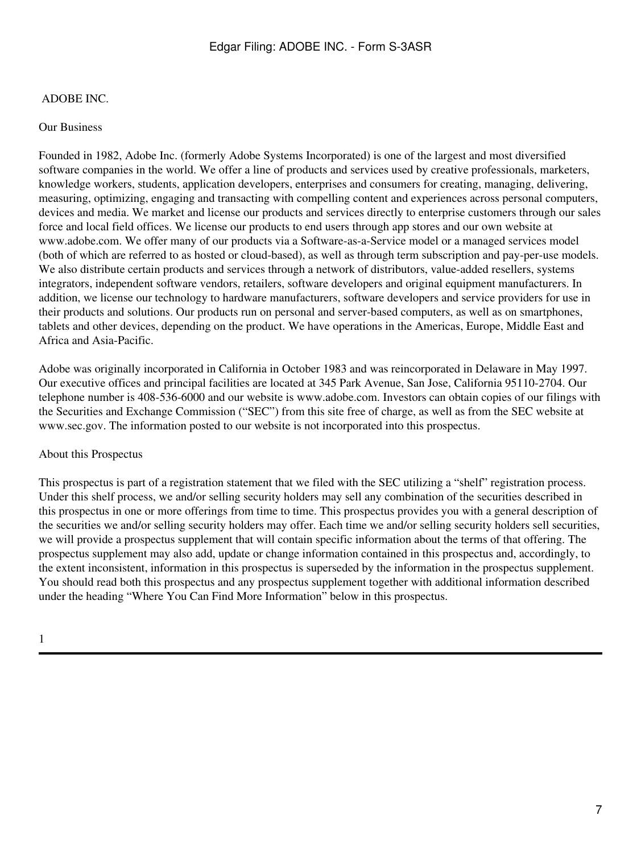### <span id="page-6-0"></span>ADOBE INC.

#### Our Business

Founded in 1982, Adobe Inc. (formerly Adobe Systems Incorporated) is one of the largest and most diversified software companies in the world. We offer a line of products and services used by creative professionals, marketers, knowledge workers, students, application developers, enterprises and consumers for creating, managing, delivering, measuring, optimizing, engaging and transacting with compelling content and experiences across personal computers, devices and media. We market and license our products and services directly to enterprise customers through our sales force and local field offices. We license our products to end users through app stores and our own website at www.adobe.com. We offer many of our products via a Software-as-a-Service model or a managed services model (both of which are referred to as hosted or cloud-based), as well as through term subscription and pay-per-use models. We also distribute certain products and services through a network of distributors, value-added resellers, systems integrators, independent software vendors, retailers, software developers and original equipment manufacturers. In addition, we license our technology to hardware manufacturers, software developers and service providers for use in their products and solutions. Our products run on personal and server-based computers, as well as on smartphones, tablets and other devices, depending on the product. We have operations in the Americas, Europe, Middle East and Africa and Asia-Pacific.

Adobe was originally incorporated in California in October 1983 and was reincorporated in Delaware in May 1997. Our executive offices and principal facilities are located at 345 Park Avenue, San Jose, California 95110-2704. Our telephone number is 408-536-6000 and our website is www.adobe.com. Investors can obtain copies of our filings with the Securities and Exchange Commission ("SEC") from this site free of charge, as well as from the SEC website at www.sec.gov. The information posted to our website is not incorporated into this prospectus.

#### About this Prospectus

This prospectus is part of a registration statement that we filed with the SEC utilizing a "shelf" registration process. Under this shelf process, we and/or selling security holders may sell any combination of the securities described in this prospectus in one or more offerings from time to time. This prospectus provides you with a general description of the securities we and/or selling security holders may offer. Each time we and/or selling security holders sell securities, we will provide a prospectus supplement that will contain specific information about the terms of that offering. The prospectus supplement may also add, update or change information contained in this prospectus and, accordingly, to the extent inconsistent, information in this prospectus is superseded by the information in the prospectus supplement. You should read both this prospectus and any prospectus supplement together with additional information described under the heading "Where You Can Find More Information" below in this prospectus.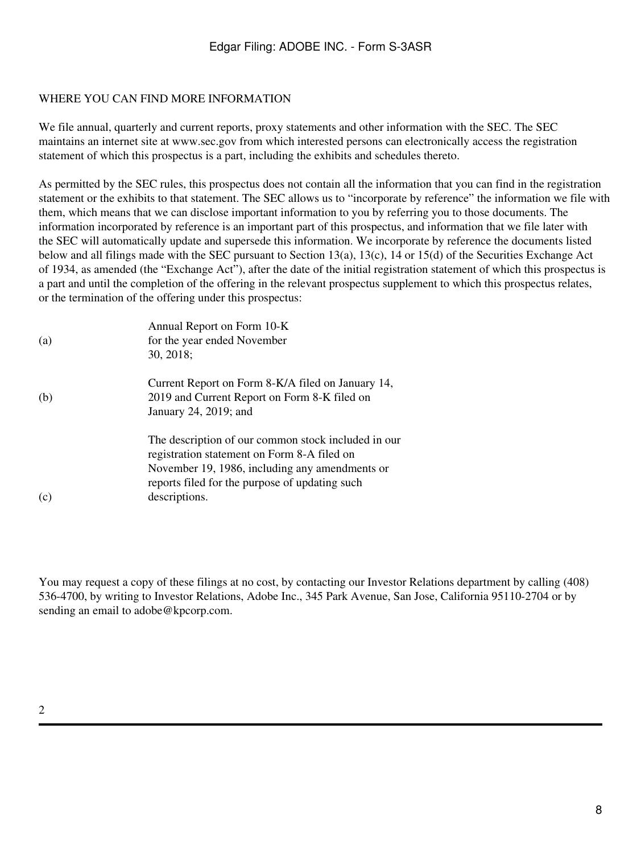## <span id="page-7-0"></span>WHERE YOU CAN FIND MORE INFORMATION

We file annual, quarterly and current reports, proxy statements and other information with the SEC. The SEC maintains an internet site at www.sec.gov from which interested persons can electronically access the registration statement of which this prospectus is a part, including the exhibits and schedules thereto.

As permitted by the SEC rules, this prospectus does not contain all the information that you can find in the registration statement or the exhibits to that statement. The SEC allows us to "incorporate by reference" the information we file with them, which means that we can disclose important information to you by referring you to those documents. The information incorporated by reference is an important part of this prospectus, and information that we file later with the SEC will automatically update and supersede this information. We incorporate by reference the documents listed below and all filings made with the SEC pursuant to Section 13(a), 13(c), 14 or 15(d) of the Securities Exchange Act of 1934, as amended (the "Exchange Act"), after the date of the initial registration statement of which this prospectus is a part and until the completion of the offering in the relevant prospectus supplement to which this prospectus relates, or the termination of the offering under this prospectus:

| (a) | Annual Report on Form 10-K<br>for the year ended November<br>30, 2018;                                                                                                                                                  |
|-----|-------------------------------------------------------------------------------------------------------------------------------------------------------------------------------------------------------------------------|
| (b) | Current Report on Form 8-K/A filed on January 14,<br>2019 and Current Report on Form 8-K filed on<br>January 24, 2019; and                                                                                              |
| (c) | The description of our common stock included in our<br>registration statement on Form 8-A filed on<br>November 19, 1986, including any amendments or<br>reports filed for the purpose of updating such<br>descriptions. |

You may request a copy of these filings at no cost, by contacting our Investor Relations department by calling (408) 536-4700, by writing to Investor Relations, Adobe Inc., 345 Park Avenue, San Jose, California 95110-2704 or by sending an email to adobe@kpcorp.com.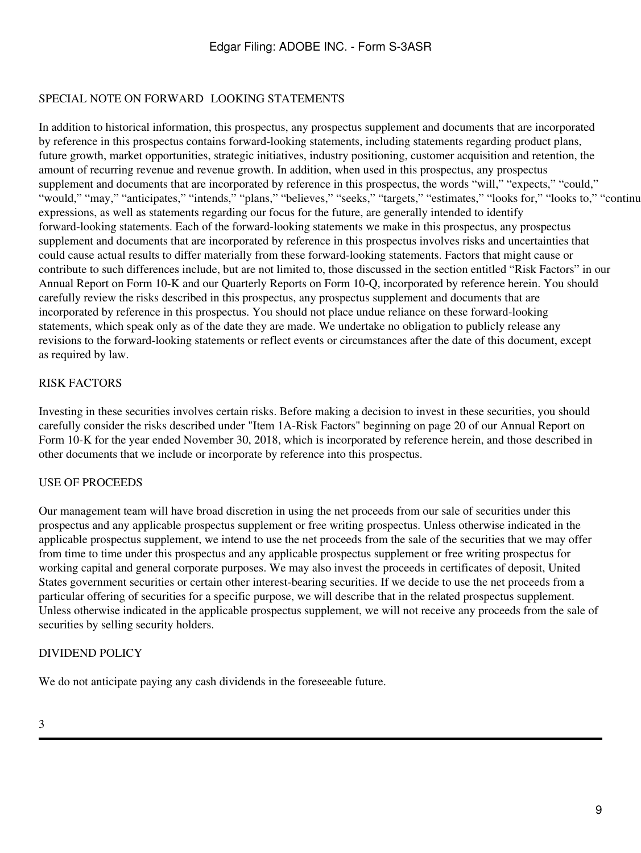## <span id="page-8-0"></span>SPECIAL NOTE ON FORWARD LOOKING STATEMENTS

In addition to historical information, this prospectus, any prospectus supplement and documents that are incorporated by reference in this prospectus contains forward-looking statements, including statements regarding product plans, future growth, market opportunities, strategic initiatives, industry positioning, customer acquisition and retention, the amount of recurring revenue and revenue growth. In addition, when used in this prospectus, any prospectus supplement and documents that are incorporated by reference in this prospectus, the words "will," "expects," "could," "would," "may," "anticipates," "intends," "plans," "believes," "seeks," "targets," "estimates," "looks for," "looks to," "continu expressions, as well as statements regarding our focus for the future, are generally intended to identify forward-looking statements. Each of the forward-looking statements we make in this prospectus, any prospectus supplement and documents that are incorporated by reference in this prospectus involves risks and uncertainties that could cause actual results to differ materially from these forward-looking statements. Factors that might cause or contribute to such differences include, but are not limited to, those discussed in the section entitled "Risk Factors" in our Annual Report on Form 10-K and our Quarterly Reports on Form 10-Q, incorporated by reference herein. You should carefully review the risks described in this prospectus, any prospectus supplement and documents that are incorporated by reference in this prospectus. You should not place undue reliance on these forward-looking statements, which speak only as of the date they are made. We undertake no obligation to publicly release any revisions to the forward-looking statements or reflect events or circumstances after the date of this document, except as required by law.

## <span id="page-8-1"></span>RISK FACTORS

Investing in these securities involves certain risks. Before making a decision to invest in these securities, you should carefully consider the risks described under "Item 1A-Risk Factors" beginning on page 20 of our Annual Report on Form 10-K for the year ended November 30, 2018, which is incorporated by reference herein, and those described in other documents that we include or incorporate by reference into this prospectus.

## <span id="page-8-2"></span>USE OF PROCEEDS

Our management team will have broad discretion in using the net proceeds from our sale of securities under this prospectus and any applicable prospectus supplement or free writing prospectus. Unless otherwise indicated in the applicable prospectus supplement, we intend to use the net proceeds from the sale of the securities that we may offer from time to time under this prospectus and any applicable prospectus supplement or free writing prospectus for working capital and general corporate purposes. We may also invest the proceeds in certificates of deposit, United States government securities or certain other interest-bearing securities. If we decide to use the net proceeds from a particular offering of securities for a specific purpose, we will describe that in the related prospectus supplement. Unless otherwise indicated in the applicable prospectus supplement, we will not receive any proceeds from the sale of securities by selling security holders.

## <span id="page-8-3"></span>DIVIDEND POLICY

We do not anticipate paying any cash dividends in the foreseeable future.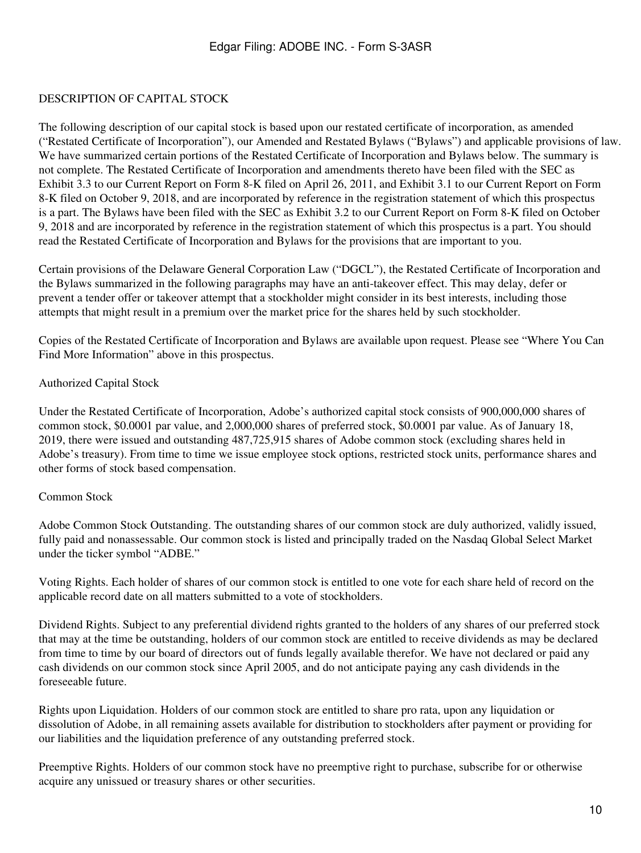## <span id="page-9-0"></span>DESCRIPTION OF CAPITAL STOCK

The following description of our capital stock is based upon our restated certificate of incorporation, as amended ("Restated Certificate of Incorporation"), our Amended and Restated Bylaws ("Bylaws") and applicable provisions of law. We have summarized certain portions of the Restated Certificate of Incorporation and Bylaws below. The summary is not complete. The Restated Certificate of Incorporation and amendments thereto have been filed with the SEC as Exhibit 3.3 to our Current Report on Form 8-K filed on April 26, 2011, and Exhibit 3.1 to our Current Report on Form 8-K filed on October 9, 2018, and are incorporated by reference in the registration statement of which this prospectus is a part. The Bylaws have been filed with the SEC as Exhibit 3.2 to our Current Report on Form 8-K filed on October 9, 2018 and are incorporated by reference in the registration statement of which this prospectus is a part. You should read the Restated Certificate of Incorporation and Bylaws for the provisions that are important to you.

Certain provisions of the Delaware General Corporation Law ("DGCL"), the Restated Certificate of Incorporation and the Bylaws summarized in the following paragraphs may have an anti-takeover effect. This may delay, defer or prevent a tender offer or takeover attempt that a stockholder might consider in its best interests, including those attempts that might result in a premium over the market price for the shares held by such stockholder.

Copies of the Restated Certificate of Incorporation and Bylaws are available upon request. Please see "Where You Can Find More Information" above in this prospectus.

## Authorized Capital Stock

Under the Restated Certificate of Incorporation, Adobe's authorized capital stock consists of 900,000,000 shares of common stock, \$0.0001 par value, and 2,000,000 shares of preferred stock, \$0.0001 par value. As of January 18, 2019, there were issued and outstanding 487,725,915 shares of Adobe common stock (excluding shares held in Adobe's treasury). From time to time we issue employee stock options, restricted stock units, performance shares and other forms of stock based compensation.

## Common Stock

Adobe Common Stock Outstanding. The outstanding shares of our common stock are duly authorized, validly issued, fully paid and nonassessable. Our common stock is listed and principally traded on the Nasdaq Global Select Market under the ticker symbol "ADBE."

Voting Rights. Each holder of shares of our common stock is entitled to one vote for each share held of record on the applicable record date on all matters submitted to a vote of stockholders.

Dividend Rights. Subject to any preferential dividend rights granted to the holders of any shares of our preferred stock that may at the time be outstanding, holders of our common stock are entitled to receive dividends as may be declared from time to time by our board of directors out of funds legally available therefor. We have not declared or paid any cash dividends on our common stock since April 2005, and do not anticipate paying any cash dividends in the foreseeable future.

Rights upon Liquidation. Holders of our common stock are entitled to share pro rata, upon any liquidation or dissolution of Adobe, in all remaining assets available for distribution to stockholders after payment or providing for our liabilities and the liquidation preference of any outstanding preferred stock.

Preemptive Rights. Holders of our common stock have no preemptive right to purchase, subscribe for or otherwise acquire any unissued or treasury shares or other securities.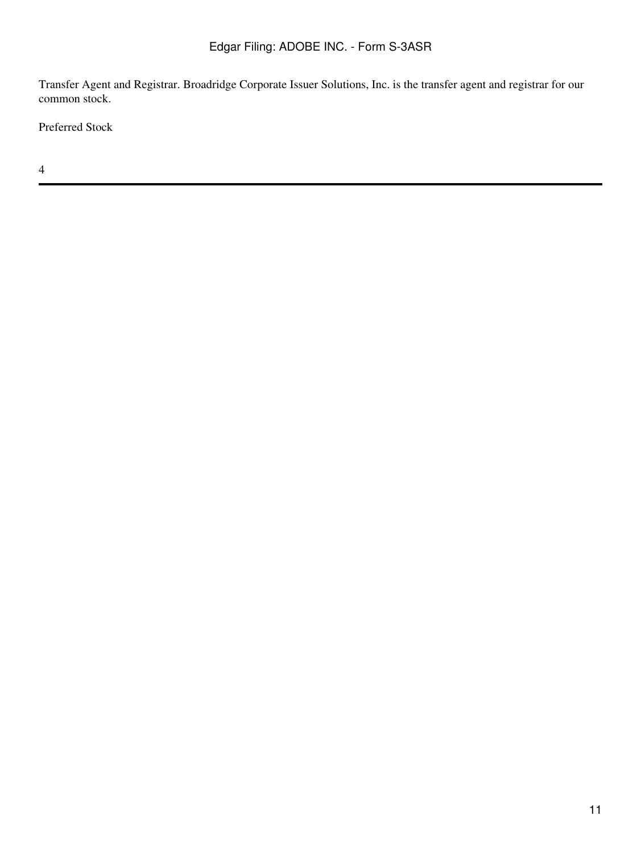Transfer Agent and Registrar. Broadridge Corporate Issuer Solutions, Inc. is the transfer agent and registrar for our common stock.

Preferred Stock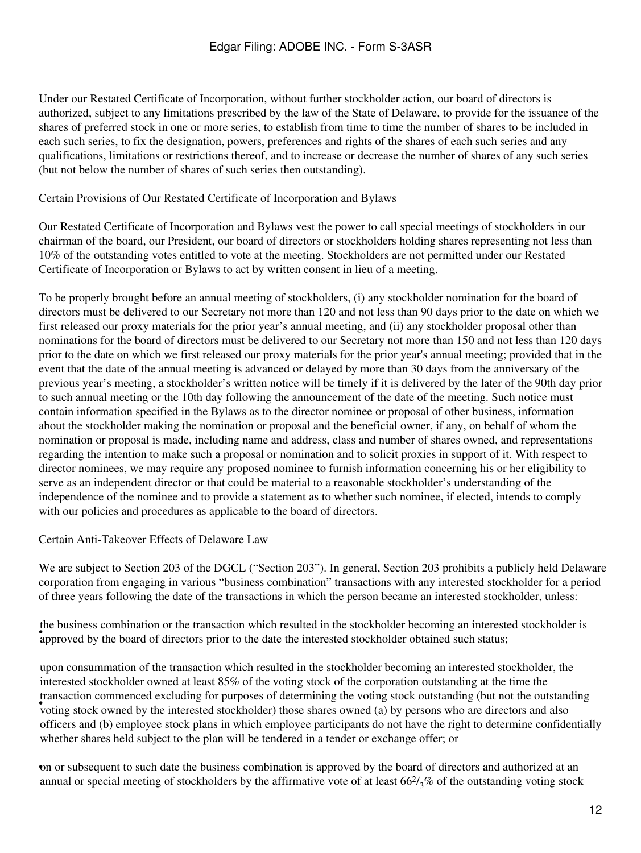Under our Restated Certificate of Incorporation, without further stockholder action, our board of directors is authorized, subject to any limitations prescribed by the law of the State of Delaware, to provide for the issuance of the shares of preferred stock in one or more series, to establish from time to time the number of shares to be included in each such series, to fix the designation, powers, preferences and rights of the shares of each such series and any qualifications, limitations or restrictions thereof, and to increase or decrease the number of shares of any such series (but not below the number of shares of such series then outstanding).

Certain Provisions of Our Restated Certificate of Incorporation and Bylaws

Our Restated Certificate of Incorporation and Bylaws vest the power to call special meetings of stockholders in our chairman of the board, our President, our board of directors or stockholders holding shares representing not less than 10% of the outstanding votes entitled to vote at the meeting. Stockholders are not permitted under our Restated Certificate of Incorporation or Bylaws to act by written consent in lieu of a meeting.

To be properly brought before an annual meeting of stockholders, (i) any stockholder nomination for the board of directors must be delivered to our Secretary not more than 120 and not less than 90 days prior to the date on which we first released our proxy materials for the prior year's annual meeting, and (ii) any stockholder proposal other than nominations for the board of directors must be delivered to our Secretary not more than 150 and not less than 120 days prior to the date on which we first released our proxy materials for the prior year's annual meeting; provided that in the event that the date of the annual meeting is advanced or delayed by more than 30 days from the anniversary of the previous year's meeting, a stockholder's written notice will be timely if it is delivered by the later of the 90th day prior to such annual meeting or the 10th day following the announcement of the date of the meeting. Such notice must contain information specified in the Bylaws as to the director nominee or proposal of other business, information about the stockholder making the nomination or proposal and the beneficial owner, if any, on behalf of whom the nomination or proposal is made, including name and address, class and number of shares owned, and representations regarding the intention to make such a proposal or nomination and to solicit proxies in support of it. With respect to director nominees, we may require any proposed nominee to furnish information concerning his or her eligibility to serve as an independent director or that could be material to a reasonable stockholder's understanding of the independence of the nominee and to provide a statement as to whether such nominee, if elected, intends to comply with our policies and procedures as applicable to the board of directors.

Certain Anti-Takeover Effects of Delaware Law

We are subject to Section 203 of the DGCL ("Section 203"). In general, Section 203 prohibits a publicly held Delaware corporation from engaging in various "business combination" transactions with any interested stockholder for a period of three years following the date of the transactions in which the person became an interested stockholder, unless:

approved by the board of directors prior to the date the interested stockholder obtained such status; the business combination or the transaction which resulted in the stockholder becoming an interested stockholder is

was action commenced exertions for purposes or determining the voting stock outstanding (out not the outstand<br>voting stock owned by the interested stockholder) those shares owned (a) by persons who are directors and also upon consummation of the transaction which resulted in the stockholder becoming an interested stockholder, the interested stockholder owned at least 85% of the voting stock of the corporation outstanding at the time the transaction commenced excluding for purposes of determining the voting stock outstanding (but not the outstanding officers and (b) employee stock plans in which employee participants do not have the right to determine confidentially whether shares held subject to the plan will be tendered in a tender or exchange offer; or

•on or subsequent to such date the business combination is approved by the board of directors and authorized at an annual or special meeting of stockholders by the affirmative vote of at least  $66\frac{2}{3}\%$  of the outstanding voting stock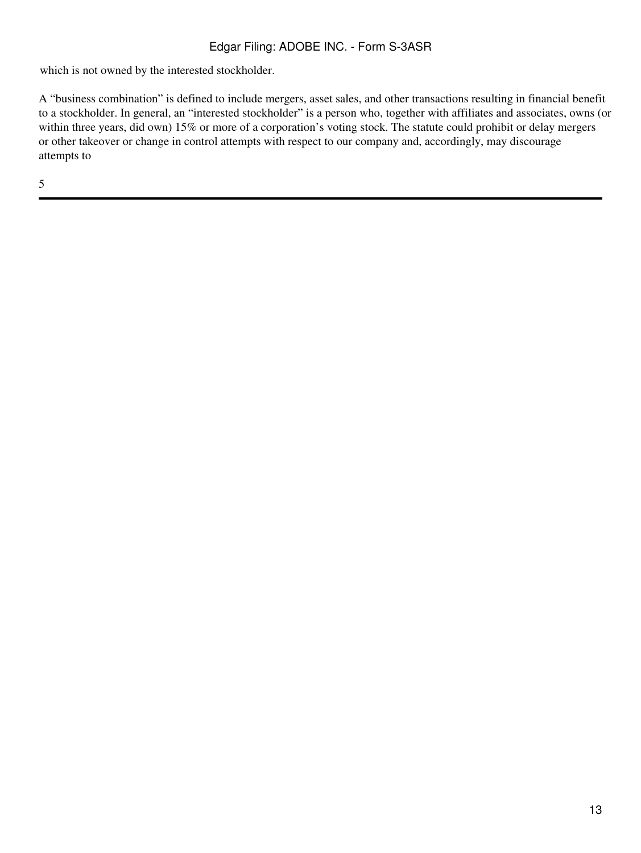which is not owned by the interested stockholder.

A "business combination" is defined to include mergers, asset sales, and other transactions resulting in financial benefit to a stockholder. In general, an "interested stockholder" is a person who, together with affiliates and associates, owns (or within three years, did own) 15% or more of a corporation's voting stock. The statute could prohibit or delay mergers or other takeover or change in control attempts with respect to our company and, accordingly, may discourage attempts to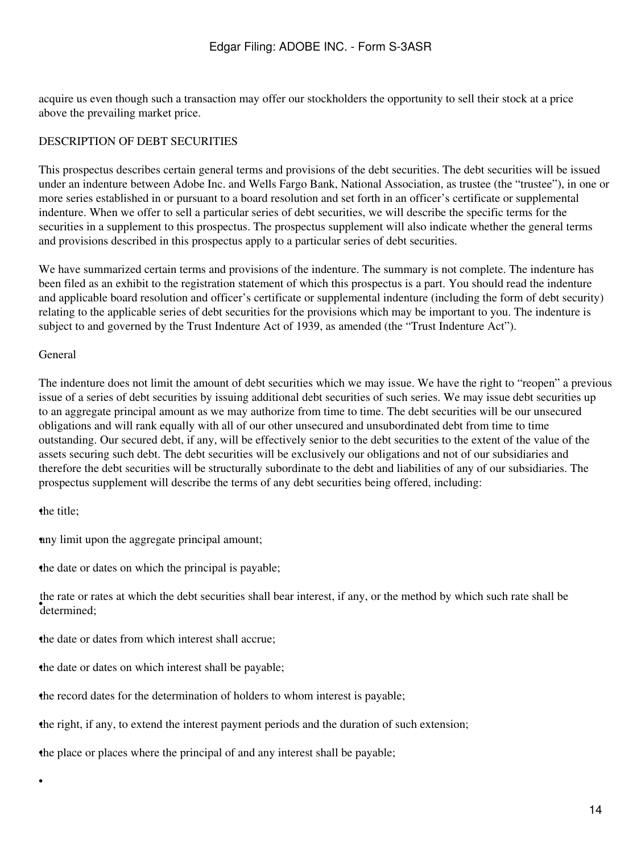acquire us even though such a transaction may offer our stockholders the opportunity to sell their stock at a price above the prevailing market price.

## <span id="page-13-0"></span>DESCRIPTION OF DEBT SECURITIES

This prospectus describes certain general terms and provisions of the debt securities. The debt securities will be issued under an indenture between Adobe Inc. and Wells Fargo Bank, National Association, as trustee (the "trustee"), in one or more series established in or pursuant to a board resolution and set forth in an officer's certificate or supplemental indenture. When we offer to sell a particular series of debt securities, we will describe the specific terms for the securities in a supplement to this prospectus. The prospectus supplement will also indicate whether the general terms and provisions described in this prospectus apply to a particular series of debt securities.

We have summarized certain terms and provisions of the indenture. The summary is not complete. The indenture has been filed as an exhibit to the registration statement of which this prospectus is a part. You should read the indenture and applicable board resolution and officer's certificate or supplemental indenture (including the form of debt security) relating to the applicable series of debt securities for the provisions which may be important to you. The indenture is subject to and governed by the Trust Indenture Act of 1939, as amended (the "Trust Indenture Act").

#### General

The indenture does not limit the amount of debt securities which we may issue. We have the right to "reopen" a previous issue of a series of debt securities by issuing additional debt securities of such series. We may issue debt securities up to an aggregate principal amount as we may authorize from time to time. The debt securities will be our unsecured obligations and will rank equally with all of our other unsecured and unsubordinated debt from time to time outstanding. Our secured debt, if any, will be effectively senior to the debt securities to the extent of the value of the assets securing such debt. The debt securities will be exclusively our obligations and not of our subsidiaries and therefore the debt securities will be structurally subordinate to the debt and liabilities of any of our subsidiaries. The prospectus supplement will describe the terms of any debt securities being offered, including:

## the title;

•

•any limit upon the aggregate principal amount;

the date or dates on which the principal is payable;

• determined; the rate or rates at which the debt securities shall bear interest, if any, or the method by which such rate shall be

the date or dates from which interest shall accrue:

the date or dates on which interest shall be payable;

•the record dates for the determination of holders to whom interest is payable;

•the right, if any, to extend the interest payment periods and the duration of such extension;

•the place or places where the principal of and any interest shall be payable;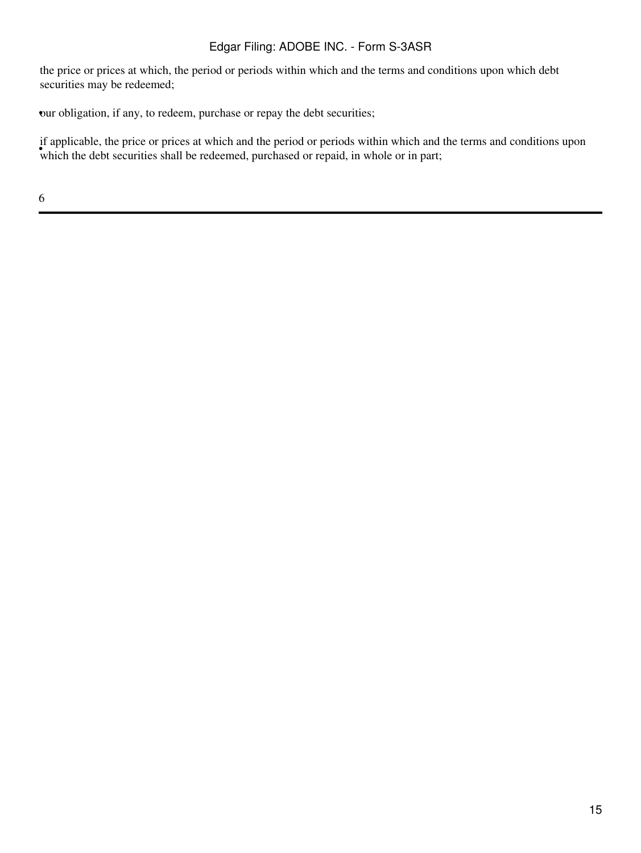the price or prices at which, the period or periods within which and the terms and conditions upon which debt securities may be redeemed;

•our obligation, if any, to redeem, purchase or repay the debt securities;

which the debt securities shall be redeemed, purchased or repaid, in whole or in part; if applicable, the price or prices at which and the period or periods within which and the terms and conditions upon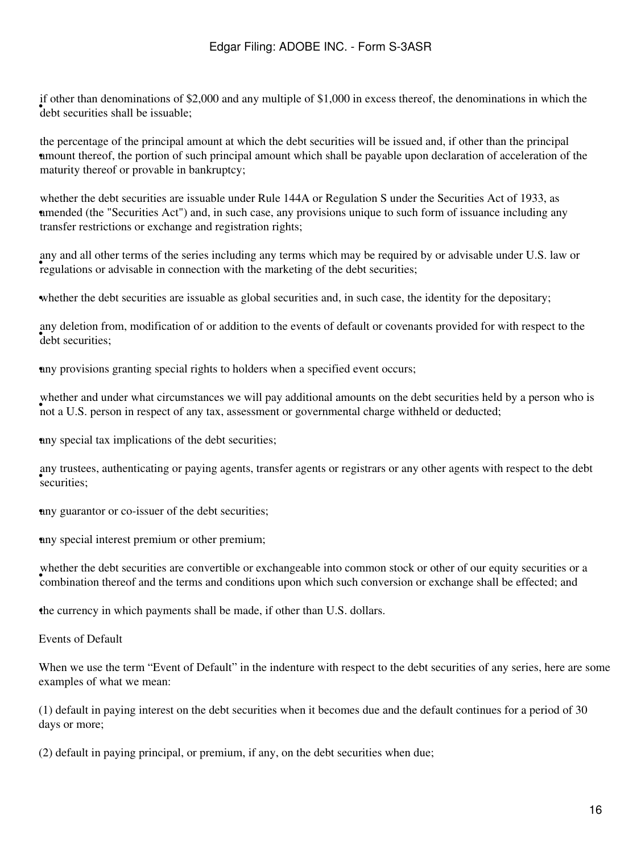$\bullet$  debt securities shall be issuable; if other than denominations of \$2,000 and any multiple of \$1,000 in excess thereof, the denominations in which the

• amount thereof, the portion of such principal amount which shall be payable upon declaration of acceleration of the the percentage of the principal amount at which the debt securities will be issued and, if other than the principal maturity thereof or provable in bankruptcy;

amended (the "Securities Act") and, in such case, any provisions unique to such form of issuance including any whether the debt securities are issuable under Rule 144A or Regulation S under the Securities Act of 1933, as transfer restrictions or exchange and registration rights;

regulations or advisable in connection with the marketing of the debt securities; any and all other terms of the series including any terms which may be required by or advisable under U.S. law or

whether the debt securities are issuable as global securities and, in such case, the identity for the depositary;

<sup>they</sup> determined any deletion from, modification of or addition to the events of default or covenants provided for with respect to the

•any provisions granting special rights to holders when a specified event occurs;

whener and under what encumstances we will pay additional amounts on the debt securities held<br>not a U.S. person in respect of any tax, assessment or governmental charge withheld or deducted; whether and under what circumstances we will pay additional amounts on the debt securities held by a person who is

any special tax implications of the debt securities;

• securities; any trustees, authenticating or paying agents, transfer agents or registrars or any other agents with respect to the debt

•any guarantor or co-issuer of the debt securities;

•any special interest premium or other premium;

whener the deel seemines are convertible of exemingedore like common stock of other of our equity seemines of combination thereof and the terms and conditions upon which such conversion or exchange shall be effected; and whether the debt securities are convertible or exchangeable into common stock or other of our equity securities or a

•the currency in which payments shall be made, if other than U.S. dollars.

Events of Default

When we use the term "Event of Default" in the indenture with respect to the debt securities of any series, here are some examples of what we mean:

(1) default in paying interest on the debt securities when it becomes due and the default continues for a period of 30 days or more;

(2) default in paying principal, or premium, if any, on the debt securities when due;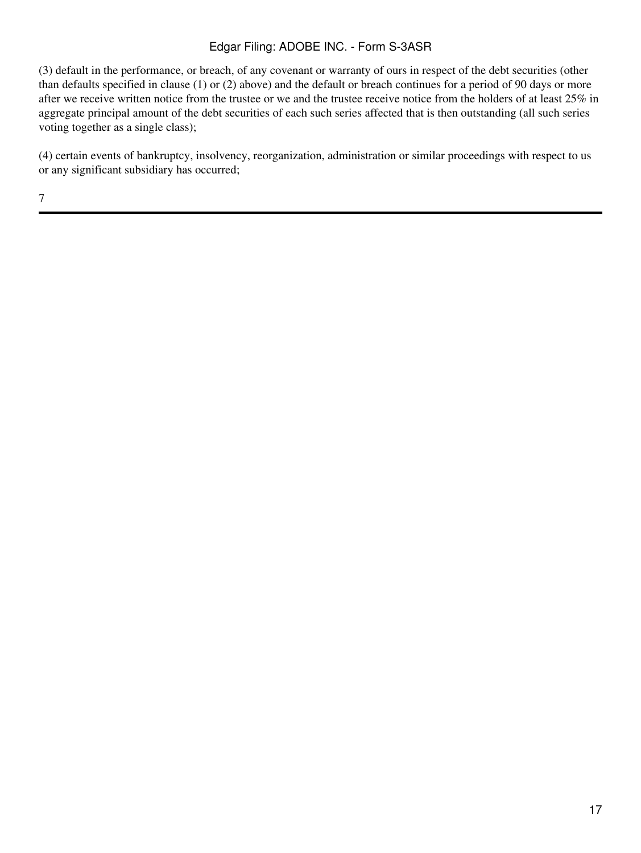(3) default in the performance, or breach, of any covenant or warranty of ours in respect of the debt securities (other than defaults specified in clause (1) or (2) above) and the default or breach continues for a period of 90 days or more after we receive written notice from the trustee or we and the trustee receive notice from the holders of at least 25% in aggregate principal amount of the debt securities of each such series affected that is then outstanding (all such series voting together as a single class);

(4) certain events of bankruptcy, insolvency, reorganization, administration or similar proceedings with respect to us or any significant subsidiary has occurred;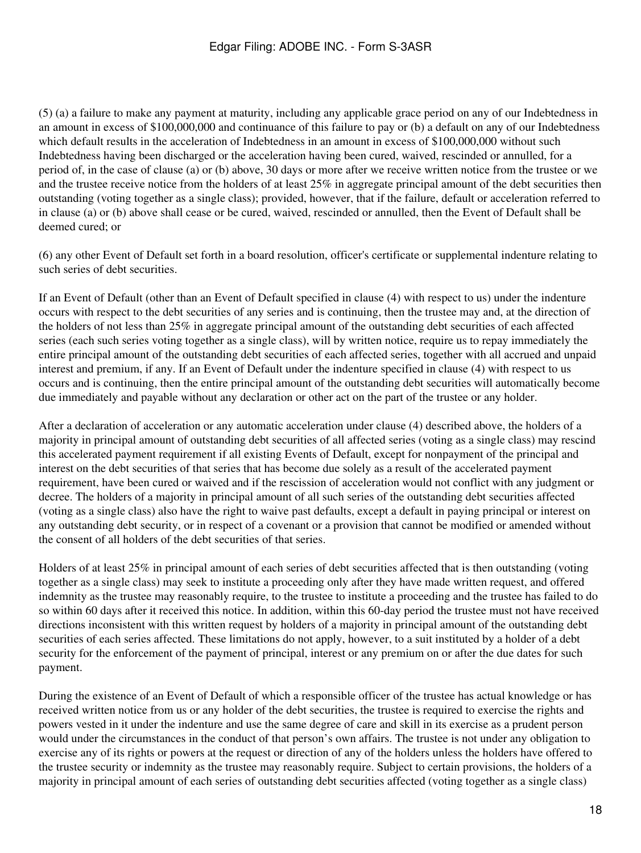(5) (a) a failure to make any payment at maturity, including any applicable grace period on any of our Indebtedness in an amount in excess of \$100,000,000 and continuance of this failure to pay or (b) a default on any of our Indebtedness which default results in the acceleration of Indebtedness in an amount in excess of \$100,000,000 without such Indebtedness having been discharged or the acceleration having been cured, waived, rescinded or annulled, for a period of, in the case of clause (a) or (b) above, 30 days or more after we receive written notice from the trustee or we and the trustee receive notice from the holders of at least 25% in aggregate principal amount of the debt securities then outstanding (voting together as a single class); provided, however, that if the failure, default or acceleration referred to in clause (a) or (b) above shall cease or be cured, waived, rescinded or annulled, then the Event of Default shall be deemed cured; or

(6) any other Event of Default set forth in a board resolution, officer's certificate or supplemental indenture relating to such series of debt securities.

If an Event of Default (other than an Event of Default specified in clause (4) with respect to us) under the indenture occurs with respect to the debt securities of any series and is continuing, then the trustee may and, at the direction of the holders of not less than 25% in aggregate principal amount of the outstanding debt securities of each affected series (each such series voting together as a single class), will by written notice, require us to repay immediately the entire principal amount of the outstanding debt securities of each affected series, together with all accrued and unpaid interest and premium, if any. If an Event of Default under the indenture specified in clause (4) with respect to us occurs and is continuing, then the entire principal amount of the outstanding debt securities will automatically become due immediately and payable without any declaration or other act on the part of the trustee or any holder.

After a declaration of acceleration or any automatic acceleration under clause (4) described above, the holders of a majority in principal amount of outstanding debt securities of all affected series (voting as a single class) may rescind this accelerated payment requirement if all existing Events of Default, except for nonpayment of the principal and interest on the debt securities of that series that has become due solely as a result of the accelerated payment requirement, have been cured or waived and if the rescission of acceleration would not conflict with any judgment or decree. The holders of a majority in principal amount of all such series of the outstanding debt securities affected (voting as a single class) also have the right to waive past defaults, except a default in paying principal or interest on any outstanding debt security, or in respect of a covenant or a provision that cannot be modified or amended without the consent of all holders of the debt securities of that series.

Holders of at least 25% in principal amount of each series of debt securities affected that is then outstanding (voting together as a single class) may seek to institute a proceeding only after they have made written request, and offered indemnity as the trustee may reasonably require, to the trustee to institute a proceeding and the trustee has failed to do so within 60 days after it received this notice. In addition, within this 60-day period the trustee must not have received directions inconsistent with this written request by holders of a majority in principal amount of the outstanding debt securities of each series affected. These limitations do not apply, however, to a suit instituted by a holder of a debt security for the enforcement of the payment of principal, interest or any premium on or after the due dates for such payment.

During the existence of an Event of Default of which a responsible officer of the trustee has actual knowledge or has received written notice from us or any holder of the debt securities, the trustee is required to exercise the rights and powers vested in it under the indenture and use the same degree of care and skill in its exercise as a prudent person would under the circumstances in the conduct of that person's own affairs. The trustee is not under any obligation to exercise any of its rights or powers at the request or direction of any of the holders unless the holders have offered to the trustee security or indemnity as the trustee may reasonably require. Subject to certain provisions, the holders of a majority in principal amount of each series of outstanding debt securities affected (voting together as a single class)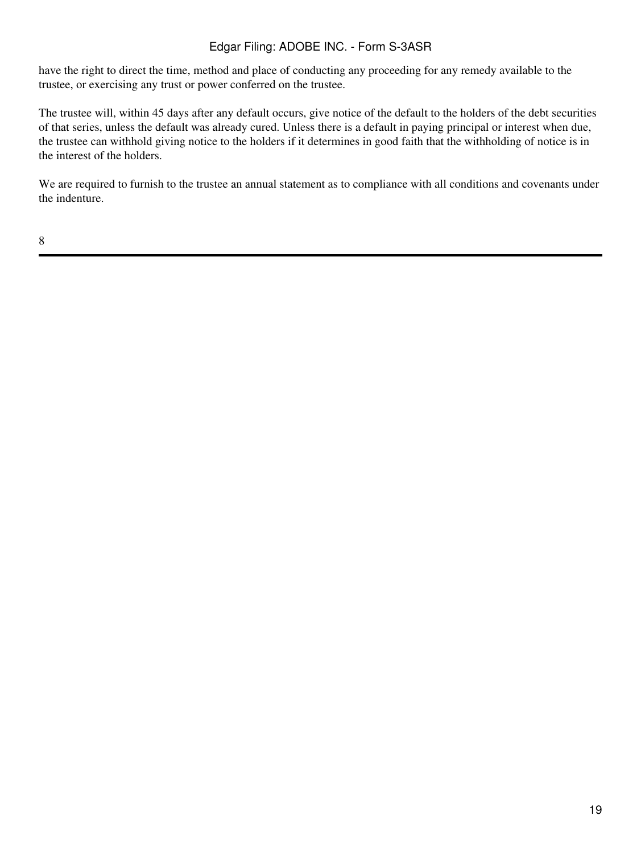have the right to direct the time, method and place of conducting any proceeding for any remedy available to the trustee, or exercising any trust or power conferred on the trustee.

The trustee will, within 45 days after any default occurs, give notice of the default to the holders of the debt securities of that series, unless the default was already cured. Unless there is a default in paying principal or interest when due, the trustee can withhold giving notice to the holders if it determines in good faith that the withholding of notice is in the interest of the holders.

We are required to furnish to the trustee an annual statement as to compliance with all conditions and covenants under the indenture.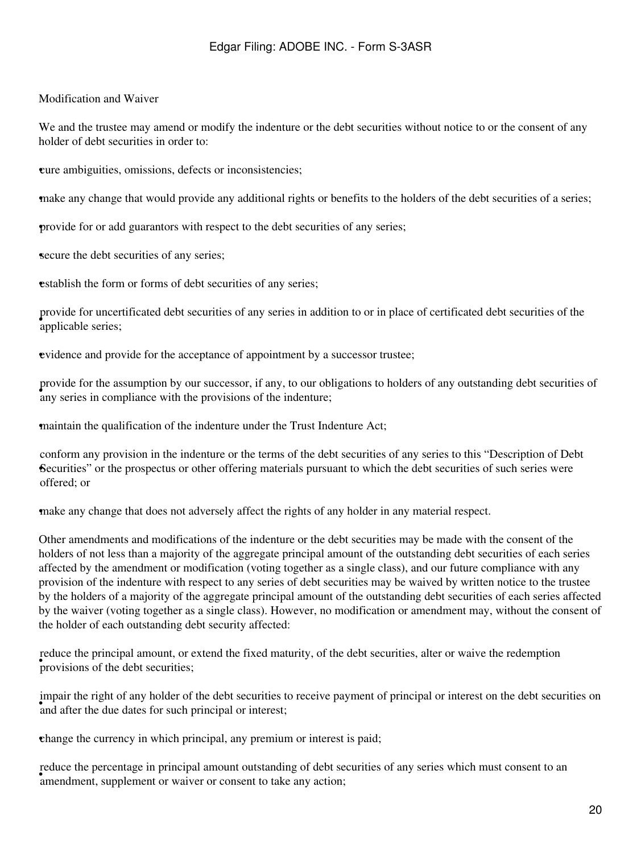## Modification and Waiver

We and the trustee may amend or modify the indenture or the debt securities without notice to or the consent of any holder of debt securities in order to:

•cure ambiguities, omissions, defects or inconsistencies;

•make any change that would provide any additional rights or benefits to the holders of the debt securities of a series;

•provide for or add guarantors with respect to the debt securities of any series;

secure the debt securities of any series;

**establish the form or forms of debt securities of any series;** 

• applicable series; provide for uncertificated debt securities of any series in addition to or in place of certificated debt securities of the

•evidence and provide for the acceptance of appointment by a successor trustee;

• any series in compliance with the provisions of the indenture; provide for the assumption by our successor, if any, to our obligations to holders of any outstanding debt securities of

•maintain the qualification of the indenture under the Trust Indenture Act;

Securities" or the prospectus or other offering materials pursuant to which the debt securities of such series were conform any provision in the indenture or the terms of the debt securities of any series to this "Description of Debt offered; or

•make any change that does not adversely affect the rights of any holder in any material respect.

Other amendments and modifications of the indenture or the debt securities may be made with the consent of the holders of not less than a majority of the aggregate principal amount of the outstanding debt securities of each series affected by the amendment or modification (voting together as a single class), and our future compliance with any provision of the indenture with respect to any series of debt securities may be waived by written notice to the trustee by the holders of a majority of the aggregate principal amount of the outstanding debt securities of each series affected by the waiver (voting together as a single class). However, no modification or amendment may, without the consent of the holder of each outstanding debt security affected:

provisions of the debt securities; reduce the principal amount, or extend the fixed maturity, of the debt securities, alter or waive the redemption

and after the due dates for such principal or interest; impair the right of any holder of the debt securities to receive payment of principal or interest on the debt securities on

•change the currency in which principal, any premium or interest is paid;

educe the percentage in principal amount outstanding or debt seemendment, supplement or waiver or consent to take any action; reduce the percentage in principal amount outstanding of debt securities of any series which must consent to an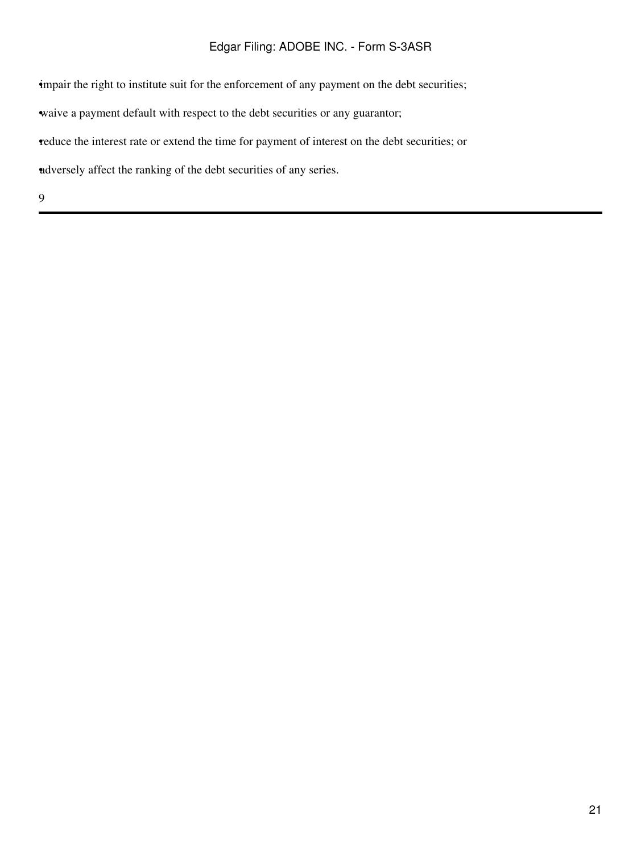impair the right to institute suit for the enforcement of any payment on the debt securities;

waive a payment default with respect to the debt securities or any guarantor;

•reduce the interest rate or extend the time for payment of interest on the debt securities; or

•adversely affect the ranking of the debt securities of any series.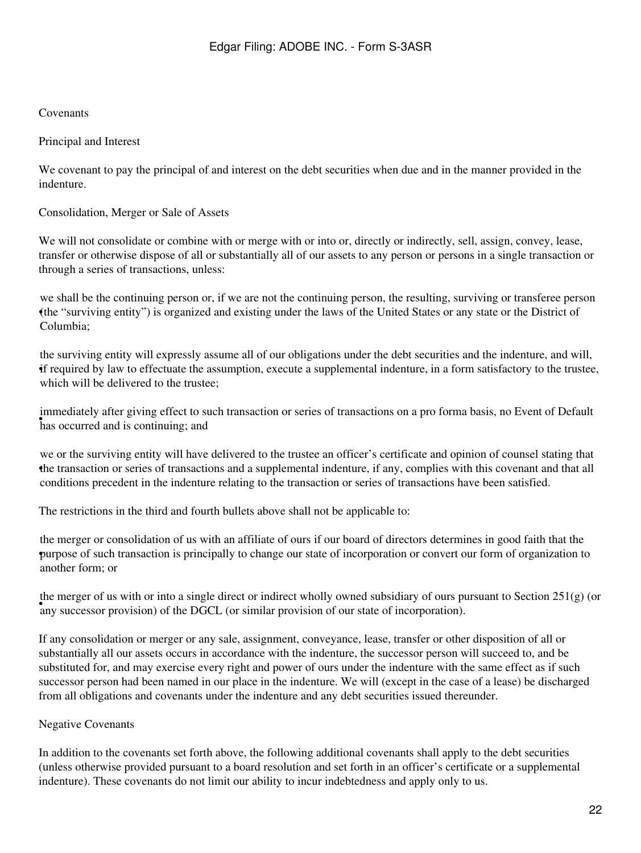#### Covenants

#### Principal and Interest

We covenant to pay the principal of and interest on the debt securities when due and in the manner provided in the indenture.

#### Consolidation, Merger or Sale of Assets

We will not consolidate or combine with or merge with or into or, directly or indirectly, sell, assign, convey, lease, transfer or otherwise dispose of all or substantially all of our assets to any person or persons in a single transaction or through a series of transactions, unless:

• (the "surviving entity") is organized and existing under the laws of the United States or any state or the District of we shall be the continuing person or, if we are not the continuing person, the resulting, surviving or transferee person Columbia;

• if required by law to effectuate the assumption, execute a supplemental indenture, in a form satisfactory to the trustee, the surviving entity will expressly assume all of our obligations under the debt securities and the indenture, and will, which will be delivered to the trustee:

the strong effect to start and is continuing; and immediately after giving effect to such transaction or series of transactions on a pro forma basis, no Event of Default

• the transaction or series of transactions and a supplemental indenture, if any, complies with this covenant and that all we or the surviving entity will have delivered to the trustee an officer's certificate and opinion of counsel stating that conditions precedent in the indenture relating to the transaction or series of transactions have been satisfied.

The restrictions in the third and fourth bullets above shall not be applicable to:

purpose of such transaction is principally to change our state of incorporation or convert our form of organization to the merger or consolidation of us with an affiliate of ours if our board of directors determines in good faith that the another form; or

any successor provision) of the DGCL (or similar provision of our state of incorporation). the merger of us with or into a single direct or indirect wholly owned subsidiary of ours pursuant to Section  $251(g)$  (or

If any consolidation or merger or any sale, assignment, conveyance, lease, transfer or other disposition of all or substantially all our assets occurs in accordance with the indenture, the successor person will succeed to, and be substituted for, and may exercise every right and power of ours under the indenture with the same effect as if such successor person had been named in our place in the indenture. We will (except in the case of a lease) be discharged from all obligations and covenants under the indenture and any debt securities issued thereunder.

## Negative Covenants

In addition to the covenants set forth above, the following additional covenants shall apply to the debt securities (unless otherwise provided pursuant to a board resolution and set forth in an officer's certificate or a supplemental indenture). These covenants do not limit our ability to incur indebtedness and apply only to us.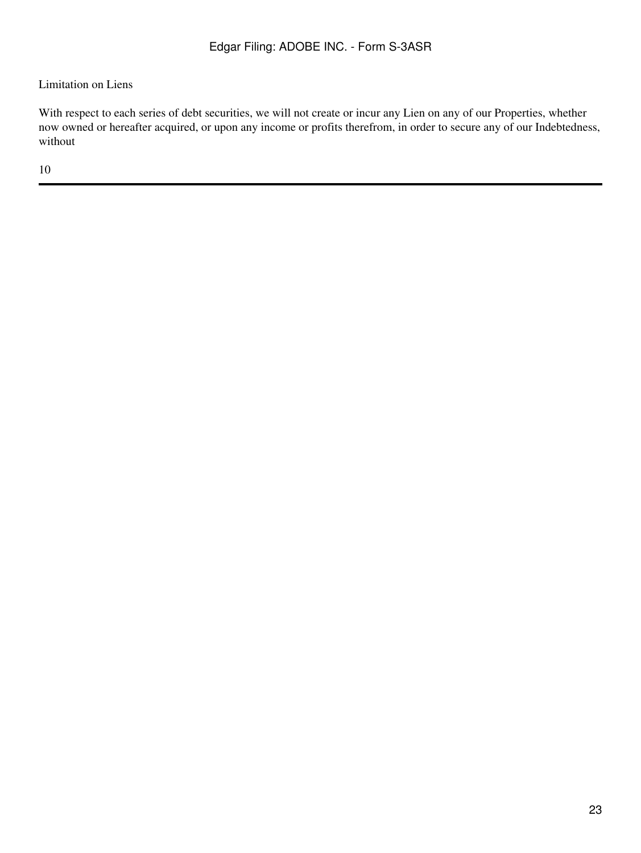## Limitation on Liens

With respect to each series of debt securities, we will not create or incur any Lien on any of our Properties, whether now owned or hereafter acquired, or upon any income or profits therefrom, in order to secure any of our Indebtedness, without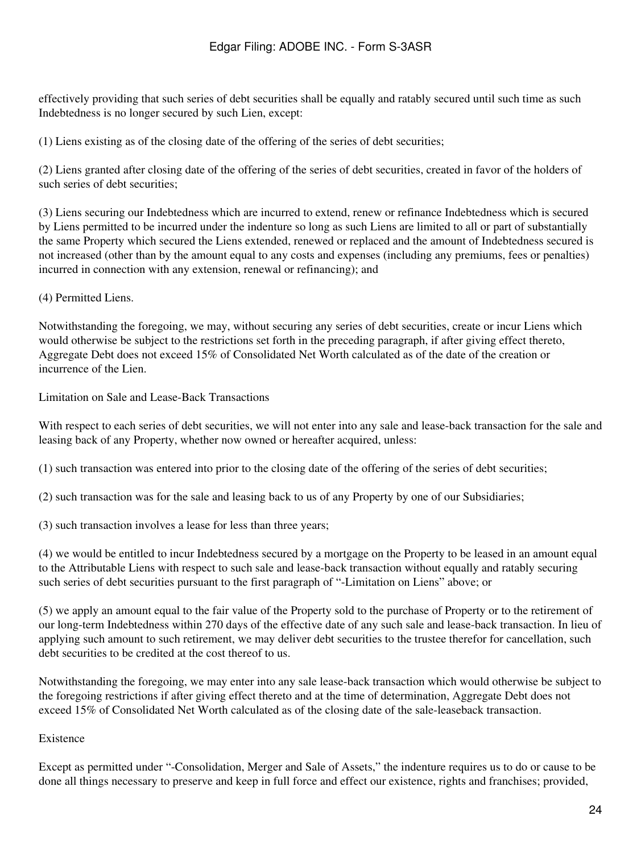effectively providing that such series of debt securities shall be equally and ratably secured until such time as such Indebtedness is no longer secured by such Lien, except:

(1) Liens existing as of the closing date of the offering of the series of debt securities;

(2) Liens granted after closing date of the offering of the series of debt securities, created in favor of the holders of such series of debt securities;

(3) Liens securing our Indebtedness which are incurred to extend, renew or refinance Indebtedness which is secured by Liens permitted to be incurred under the indenture so long as such Liens are limited to all or part of substantially the same Property which secured the Liens extended, renewed or replaced and the amount of Indebtedness secured is not increased (other than by the amount equal to any costs and expenses (including any premiums, fees or penalties) incurred in connection with any extension, renewal or refinancing); and

(4) Permitted Liens.

Notwithstanding the foregoing, we may, without securing any series of debt securities, create or incur Liens which would otherwise be subject to the restrictions set forth in the preceding paragraph, if after giving effect thereto, Aggregate Debt does not exceed 15% of Consolidated Net Worth calculated as of the date of the creation or incurrence of the Lien.

Limitation on Sale and Lease-Back Transactions

With respect to each series of debt securities, we will not enter into any sale and lease-back transaction for the sale and leasing back of any Property, whether now owned or hereafter acquired, unless:

(1) such transaction was entered into prior to the closing date of the offering of the series of debt securities;

(2) such transaction was for the sale and leasing back to us of any Property by one of our Subsidiaries;

(3) such transaction involves a lease for less than three years;

(4) we would be entitled to incur Indebtedness secured by a mortgage on the Property to be leased in an amount equal to the Attributable Liens with respect to such sale and lease-back transaction without equally and ratably securing such series of debt securities pursuant to the first paragraph of "-Limitation on Liens" above; or

(5) we apply an amount equal to the fair value of the Property sold to the purchase of Property or to the retirement of our long-term Indebtedness within 270 days of the effective date of any such sale and lease-back transaction. In lieu of applying such amount to such retirement, we may deliver debt securities to the trustee therefor for cancellation, such debt securities to be credited at the cost thereof to us.

Notwithstanding the foregoing, we may enter into any sale lease-back transaction which would otherwise be subject to the foregoing restrictions if after giving effect thereto and at the time of determination, Aggregate Debt does not exceed 15% of Consolidated Net Worth calculated as of the closing date of the sale-leaseback transaction.

#### Existence

Except as permitted under "-Consolidation, Merger and Sale of Assets," the indenture requires us to do or cause to be done all things necessary to preserve and keep in full force and effect our existence, rights and franchises; provided,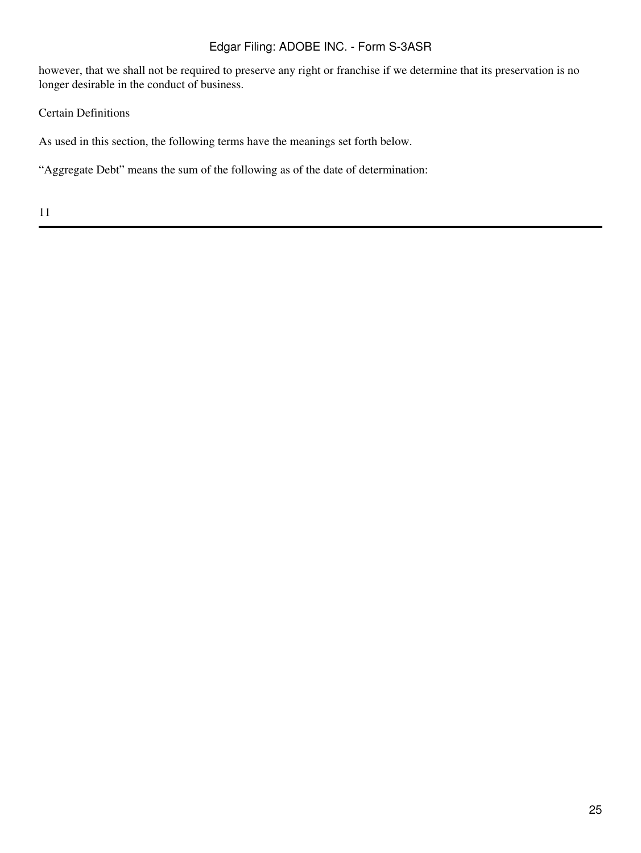however, that we shall not be required to preserve any right or franchise if we determine that its preservation is no longer desirable in the conduct of business.

Certain Definitions

As used in this section, the following terms have the meanings set forth below.

"Aggregate Debt" means the sum of the following as of the date of determination: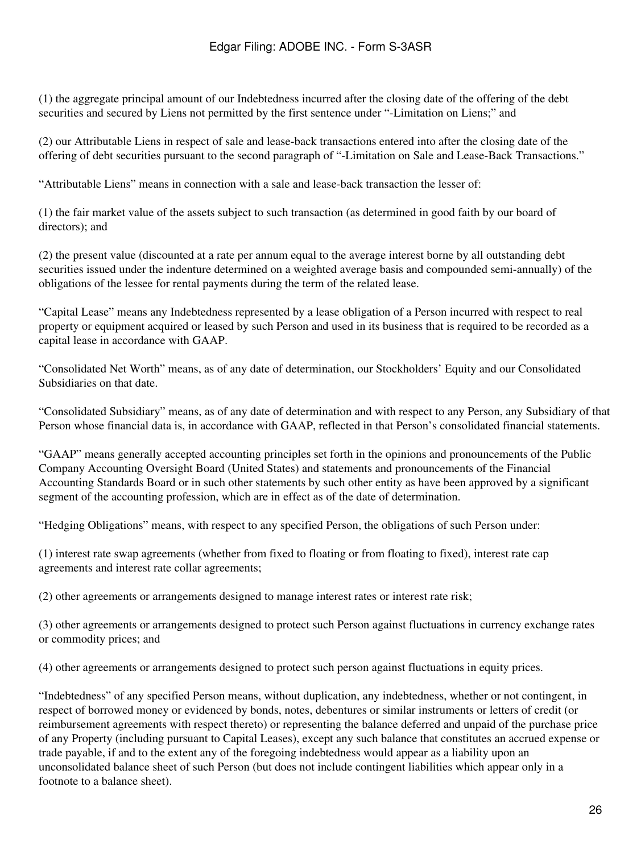(1) the aggregate principal amount of our Indebtedness incurred after the closing date of the offering of the debt securities and secured by Liens not permitted by the first sentence under "-Limitation on Liens;" and

(2) our Attributable Liens in respect of sale and lease-back transactions entered into after the closing date of the offering of debt securities pursuant to the second paragraph of "-Limitation on Sale and Lease-Back Transactions."

"Attributable Liens" means in connection with a sale and lease-back transaction the lesser of:

(1) the fair market value of the assets subject to such transaction (as determined in good faith by our board of directors); and

(2) the present value (discounted at a rate per annum equal to the average interest borne by all outstanding debt securities issued under the indenture determined on a weighted average basis and compounded semi-annually) of the obligations of the lessee for rental payments during the term of the related lease.

"Capital Lease" means any Indebtedness represented by a lease obligation of a Person incurred with respect to real property or equipment acquired or leased by such Person and used in its business that is required to be recorded as a capital lease in accordance with GAAP.

"Consolidated Net Worth" means, as of any date of determination, our Stockholders' Equity and our Consolidated Subsidiaries on that date.

"Consolidated Subsidiary" means, as of any date of determination and with respect to any Person, any Subsidiary of that Person whose financial data is, in accordance with GAAP, reflected in that Person's consolidated financial statements.

"GAAP" means generally accepted accounting principles set forth in the opinions and pronouncements of the Public Company Accounting Oversight Board (United States) and statements and pronouncements of the Financial Accounting Standards Board or in such other statements by such other entity as have been approved by a significant segment of the accounting profession, which are in effect as of the date of determination.

"Hedging Obligations" means, with respect to any specified Person, the obligations of such Person under:

(1) interest rate swap agreements (whether from fixed to floating or from floating to fixed), interest rate cap agreements and interest rate collar agreements;

(2) other agreements or arrangements designed to manage interest rates or interest rate risk;

(3) other agreements or arrangements designed to protect such Person against fluctuations in currency exchange rates or commodity prices; and

(4) other agreements or arrangements designed to protect such person against fluctuations in equity prices.

"Indebtedness" of any specified Person means, without duplication, any indebtedness, whether or not contingent, in respect of borrowed money or evidenced by bonds, notes, debentures or similar instruments or letters of credit (or reimbursement agreements with respect thereto) or representing the balance deferred and unpaid of the purchase price of any Property (including pursuant to Capital Leases), except any such balance that constitutes an accrued expense or trade payable, if and to the extent any of the foregoing indebtedness would appear as a liability upon an unconsolidated balance sheet of such Person (but does not include contingent liabilities which appear only in a footnote to a balance sheet).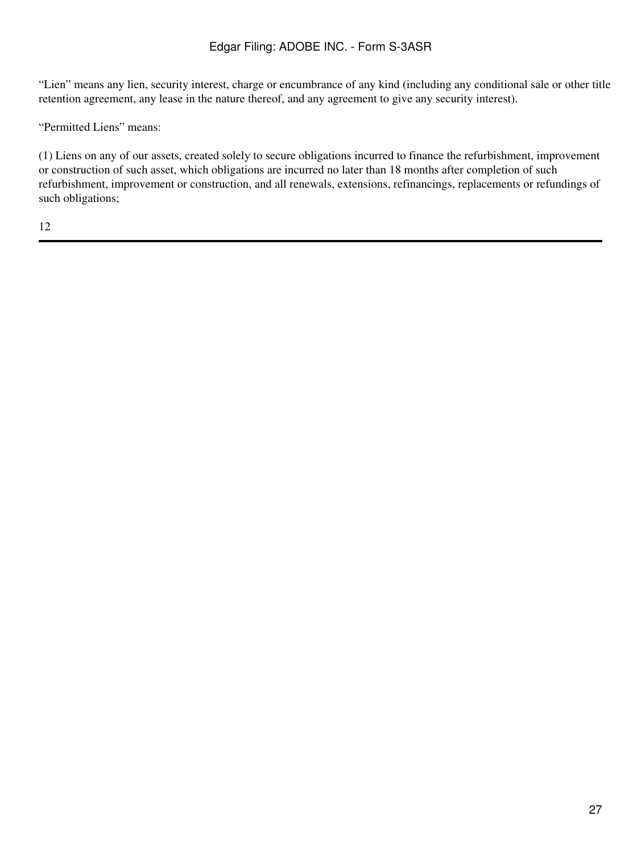"Lien" means any lien, security interest, charge or encumbrance of any kind (including any conditional sale or other title retention agreement, any lease in the nature thereof, and any agreement to give any security interest).

"Permitted Liens" means:

(1) Liens on any of our assets, created solely to secure obligations incurred to finance the refurbishment, improvement or construction of such asset, which obligations are incurred no later than 18 months after completion of such refurbishment, improvement or construction, and all renewals, extensions, refinancings, replacements or refundings of such obligations;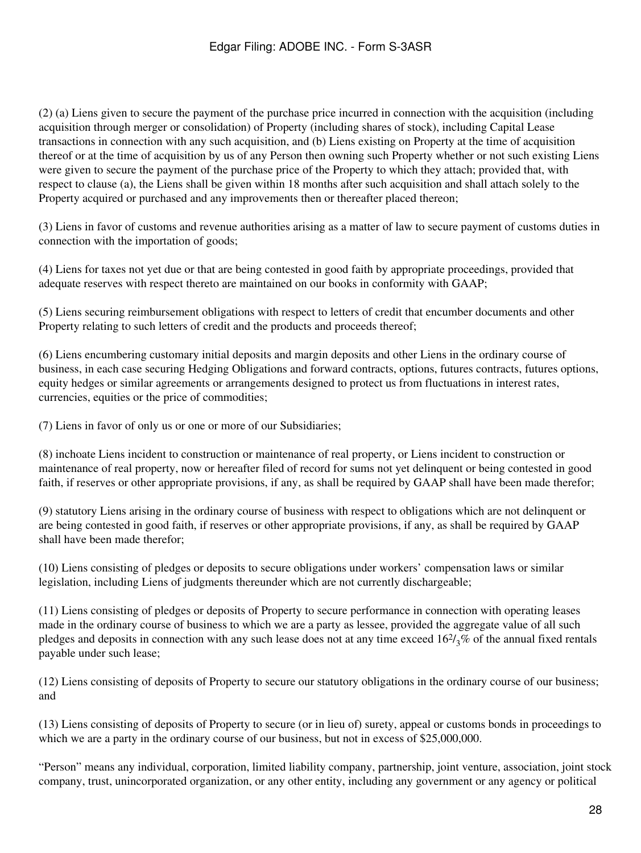(2) (a) Liens given to secure the payment of the purchase price incurred in connection with the acquisition (including acquisition through merger or consolidation) of Property (including shares of stock), including Capital Lease transactions in connection with any such acquisition, and (b) Liens existing on Property at the time of acquisition thereof or at the time of acquisition by us of any Person then owning such Property whether or not such existing Liens were given to secure the payment of the purchase price of the Property to which they attach; provided that, with respect to clause (a), the Liens shall be given within 18 months after such acquisition and shall attach solely to the Property acquired or purchased and any improvements then or thereafter placed thereon;

(3) Liens in favor of customs and revenue authorities arising as a matter of law to secure payment of customs duties in connection with the importation of goods;

(4) Liens for taxes not yet due or that are being contested in good faith by appropriate proceedings, provided that adequate reserves with respect thereto are maintained on our books in conformity with GAAP;

(5) Liens securing reimbursement obligations with respect to letters of credit that encumber documents and other Property relating to such letters of credit and the products and proceeds thereof;

(6) Liens encumbering customary initial deposits and margin deposits and other Liens in the ordinary course of business, in each case securing Hedging Obligations and forward contracts, options, futures contracts, futures options, equity hedges or similar agreements or arrangements designed to protect us from fluctuations in interest rates, currencies, equities or the price of commodities;

(7) Liens in favor of only us or one or more of our Subsidiaries;

(8) inchoate Liens incident to construction or maintenance of real property, or Liens incident to construction or maintenance of real property, now or hereafter filed of record for sums not yet delinquent or being contested in good faith, if reserves or other appropriate provisions, if any, as shall be required by GAAP shall have been made therefor;

(9) statutory Liens arising in the ordinary course of business with respect to obligations which are not delinquent or are being contested in good faith, if reserves or other appropriate provisions, if any, as shall be required by GAAP shall have been made therefor;

(10) Liens consisting of pledges or deposits to secure obligations under workers' compensation laws or similar legislation, including Liens of judgments thereunder which are not currently dischargeable;

(11) Liens consisting of pledges or deposits of Property to secure performance in connection with operating leases made in the ordinary course of business to which we are a party as lessee, provided the aggregate value of all such pledges and deposits in connection with any such lease does not at any time exceed  $16\frac{2}{3}\%$  of the annual fixed rentals payable under such lease;

(12) Liens consisting of deposits of Property to secure our statutory obligations in the ordinary course of our business; and

(13) Liens consisting of deposits of Property to secure (or in lieu of) surety, appeal or customs bonds in proceedings to which we are a party in the ordinary course of our business, but not in excess of \$25,000,000.

"Person" means any individual, corporation, limited liability company, partnership, joint venture, association, joint stock company, trust, unincorporated organization, or any other entity, including any government or any agency or political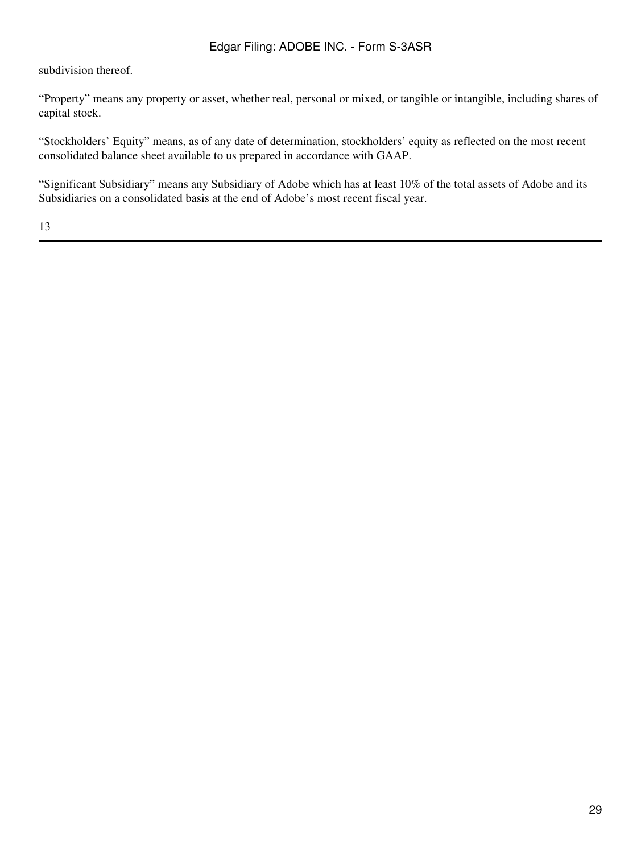subdivision thereof.

"Property" means any property or asset, whether real, personal or mixed, or tangible or intangible, including shares of capital stock.

"Stockholders' Equity" means, as of any date of determination, stockholders' equity as reflected on the most recent consolidated balance sheet available to us prepared in accordance with GAAP.

"Significant Subsidiary" means any Subsidiary of Adobe which has at least 10% of the total assets of Adobe and its Subsidiaries on a consolidated basis at the end of Adobe's most recent fiscal year.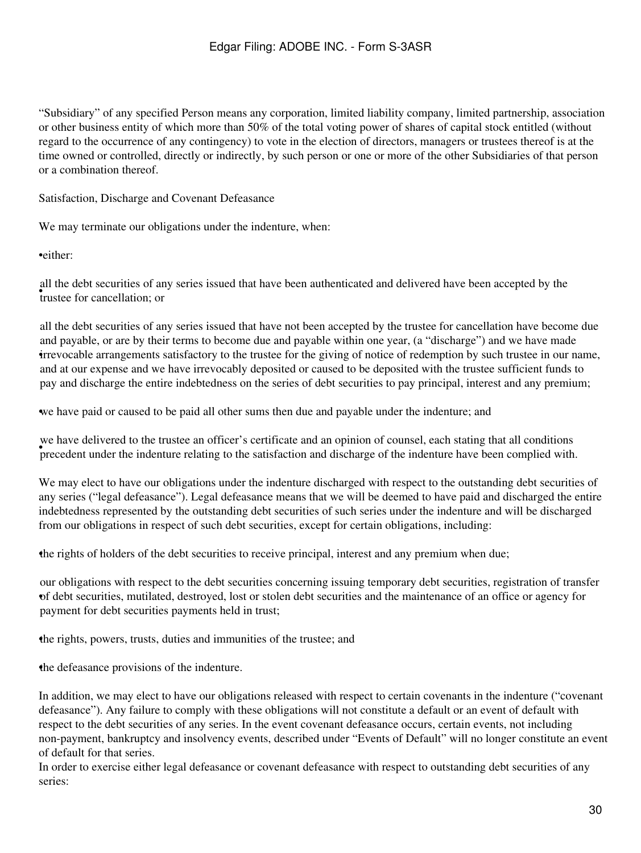"Subsidiary" of any specified Person means any corporation, limited liability company, limited partnership, association or other business entity of which more than 50% of the total voting power of shares of capital stock entitled (without regard to the occurrence of any contingency) to vote in the election of directors, managers or trustees thereof is at the time owned or controlled, directly or indirectly, by such person or one or more of the other Subsidiaries of that person or a combination thereof.

Satisfaction, Discharge and Covenant Defeasance

We may terminate our obligations under the indenture, when:

•either:

• trustee for cancellation; or all the debt securities of any series issued that have been authenticated and delivered have been accepted by the

• irrevocable arrangements satisfactory to the trustee for the giving of notice of redemption by such trustee in our name, all the debt securities of any series issued that have not been accepted by the trustee for cancellation have become due and payable, or are by their terms to become due and payable within one year, (a "discharge") and we have made and at our expense and we have irrevocably deposited or caused to be deposited with the trustee sufficient funds to pay and discharge the entire indebtedness on the series of debt securities to pay principal, interest and any premium;

•we have paid or caused to be paid all other sums then due and payable under the indenture; and

we have denverted to the trustee an orneer s'ecrimeate and an opinion or counsel, each stating that an conditions precedent under the indenture relating to the satisfaction and discharge of the indenture have been complied we have delivered to the trustee an officer's certificate and an opinion of counsel, each stating that all conditions

We may elect to have our obligations under the indenture discharged with respect to the outstanding debt securities of any series ("legal defeasance"). Legal defeasance means that we will be deemed to have paid and discharged the entire indebtedness represented by the outstanding debt securities of such series under the indenture and will be discharged from our obligations in respect of such debt securities, except for certain obligations, including:

•the rights of holders of the debt securities to receive principal, interest and any premium when due;

• of debt securities, mutilated, destroyed, lost or stolen debt securities and the maintenance of an office or agency for our obligations with respect to the debt securities concerning issuing temporary debt securities, registration of transfer payment for debt securities payments held in trust;

•the rights, powers, trusts, duties and immunities of the trustee; and

•the defeasance provisions of the indenture.

In addition, we may elect to have our obligations released with respect to certain covenants in the indenture ("covenant defeasance"). Any failure to comply with these obligations will not constitute a default or an event of default with respect to the debt securities of any series. In the event covenant defeasance occurs, certain events, not including non-payment, bankruptcy and insolvency events, described under "Events of Default" will no longer constitute an event of default for that series.

In order to exercise either legal defeasance or covenant defeasance with respect to outstanding debt securities of any series: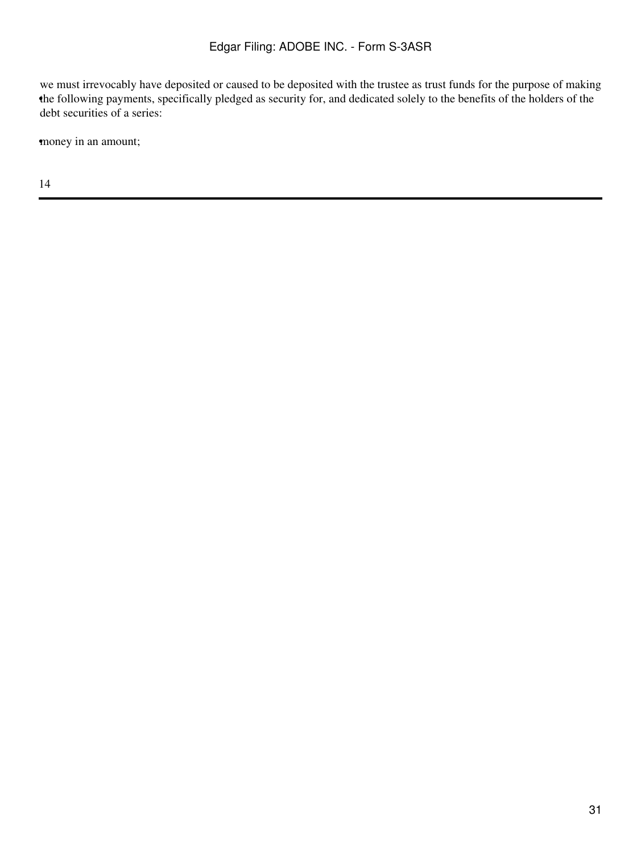• the following payments, specifically pledged as security for, and dedicated solely to the benefits of the holders of the we must irrevocably have deposited or caused to be deposited with the trustee as trust funds for the purpose of making debt securities of a series:

money in an amount;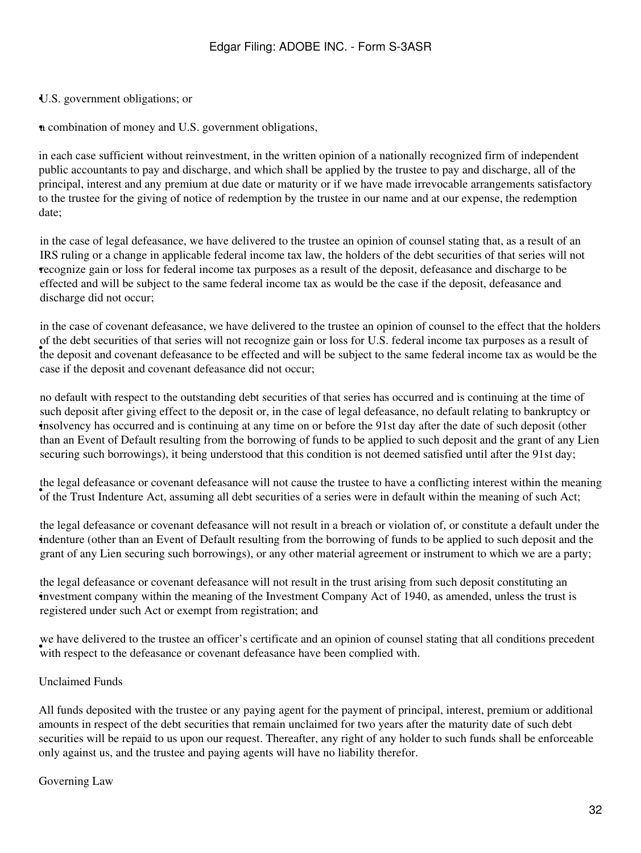#### •U.S. government obligations; or

•a combination of money and U.S. government obligations,

in each case sufficient without reinvestment, in the written opinion of a nationally recognized firm of independent public accountants to pay and discharge, and which shall be applied by the trustee to pay and discharge, all of the principal, interest and any premium at due date or maturity or if we have made irrevocable arrangements satisfactory to the trustee for the giving of notice of redemption by the trustee in our name and at our expense, the redemption date;

• recognize gain or loss for federal income tax purposes as a result of the deposit, defeasance and discharge to be in the case of legal defeasance, we have delivered to the trustee an opinion of counsel stating that, as a result of an IRS ruling or a change in applicable federal income tax law, the holders of the debt securities of that series will not effected and will be subject to the same federal income tax as would be the case if the deposit, defeasance and discharge did not occur;

the deposit and covenant defeasance to be effected and will be subject to the same federal income tax as would be the in the case of covenant defeasance, we have delivered to the trustee an opinion of counsel to the effect that the holders of the debt securities of that series will not recognize gain or loss for U.S. federal income tax purposes as a result of case if the deposit and covenant defeasance did not occur;

• insolvency has occurred and is continuing at any time on or before the 91st day after the date of such deposit (other no default with respect to the outstanding debt securities of that series has occurred and is continuing at the time of such deposit after giving effect to the deposit or, in the case of legal defeasance, no default relating to bankruptcy or than an Event of Default resulting from the borrowing of funds to be applied to such deposit and the grant of any Lien securing such borrowings), it being understood that this condition is not deemed satisfied until after the 91st day;

The regardereasance of covenant deteasance with not cause the trastee to have a confinering interest whilm the meaning of such Act;<br>of the Trust Indenture Act, assuming all debt securities of a series were in default withi the legal defeasance or covenant defeasance will not cause the trustee to have a conflicting interest within the meaning

• indenture (other than an Event of Default resulting from the borrowing of funds to be applied to such deposit and the the legal defeasance or covenant defeasance will not result in a breach or violation of, or constitute a default under the grant of any Lien securing such borrowings), or any other material agreement or instrument to which we are a party;

• investment company within the meaning of the Investment Company Act of 1940, as amended, unless the trust is the legal defeasance or covenant defeasance will not result in the trust arising from such deposit constituting an registered under such Act or exempt from registration; and

we have derivered to the trastee an orificer s'ecrimicate and an opinion or counse with respect to the defeasance or covenant defeasance have been complied with. we have delivered to the trustee an officer's certificate and an opinion of counsel stating that all conditions precedent

#### Unclaimed Funds

All funds deposited with the trustee or any paying agent for the payment of principal, interest, premium or additional amounts in respect of the debt securities that remain unclaimed for two years after the maturity date of such debt securities will be repaid to us upon our request. Thereafter, any right of any holder to such funds shall be enforceable only against us, and the trustee and paying agents will have no liability therefor.

#### Governing Law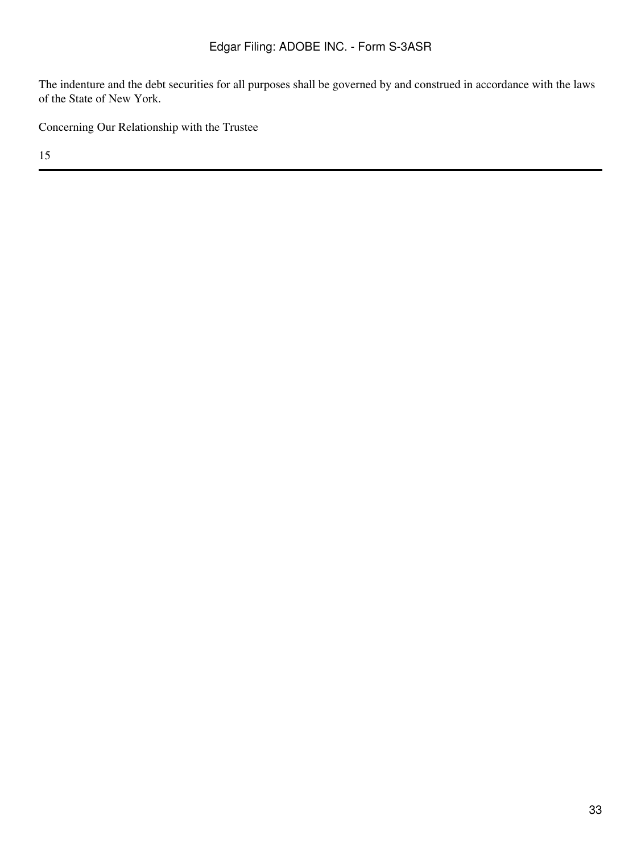The indenture and the debt securities for all purposes shall be governed by and construed in accordance with the laws of the State of New York.

Concerning Our Relationship with the Trustee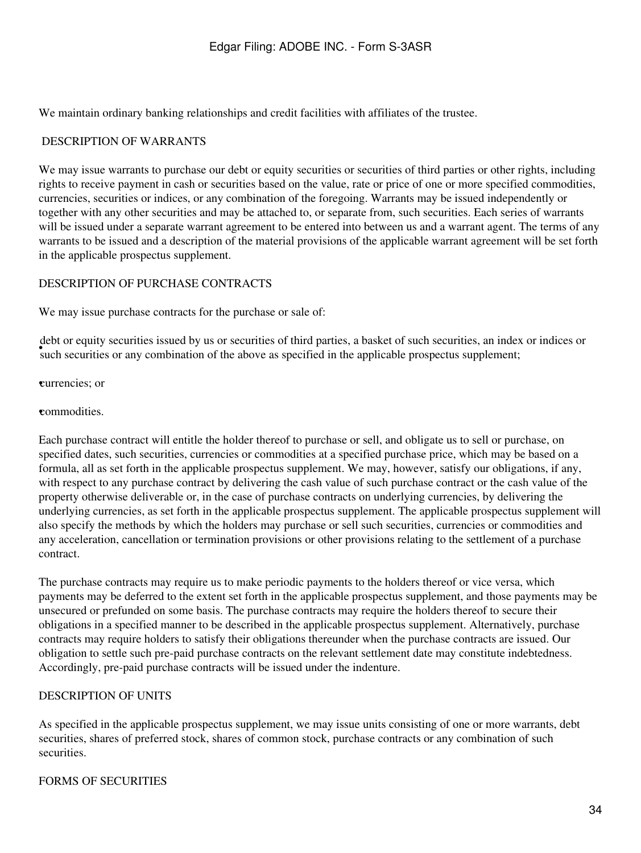We maintain ordinary banking relationships and credit facilities with affiliates of the trustee.

#### <span id="page-33-0"></span>DESCRIPTION OF WARRANTS

We may issue warrants to purchase our debt or equity securities or securities of third parties or other rights, including rights to receive payment in cash or securities based on the value, rate or price of one or more specified commodities, currencies, securities or indices, or any combination of the foregoing. Warrants may be issued independently or together with any other securities and may be attached to, or separate from, such securities. Each series of warrants will be issued under a separate warrant agreement to be entered into between us and a warrant agent. The terms of any warrants to be issued and a description of the material provisions of the applicable warrant agreement will be set forth in the applicable prospectus supplement.

#### <span id="page-33-1"></span>DESCRIPTION OF PURCHASE CONTRACTS

We may issue purchase contracts for the purchase or sale of:

such securities or any combination of the above as specified in the applicable prospectus supplement; debt or equity securities issued by us or securities of third parties, a basket of such securities, an index or indices or

•currencies; or

**•commodities** 

Each purchase contract will entitle the holder thereof to purchase or sell, and obligate us to sell or purchase, on specified dates, such securities, currencies or commodities at a specified purchase price, which may be based on a formula, all as set forth in the applicable prospectus supplement. We may, however, satisfy our obligations, if any, with respect to any purchase contract by delivering the cash value of such purchase contract or the cash value of the property otherwise deliverable or, in the case of purchase contracts on underlying currencies, by delivering the underlying currencies, as set forth in the applicable prospectus supplement. The applicable prospectus supplement will also specify the methods by which the holders may purchase or sell such securities, currencies or commodities and any acceleration, cancellation or termination provisions or other provisions relating to the settlement of a purchase contract.

The purchase contracts may require us to make periodic payments to the holders thereof or vice versa, which payments may be deferred to the extent set forth in the applicable prospectus supplement, and those payments may be unsecured or prefunded on some basis. The purchase contracts may require the holders thereof to secure their obligations in a specified manner to be described in the applicable prospectus supplement. Alternatively, purchase contracts may require holders to satisfy their obligations thereunder when the purchase contracts are issued. Our obligation to settle such pre-paid purchase contracts on the relevant settlement date may constitute indebtedness. Accordingly, pre-paid purchase contracts will be issued under the indenture.

## <span id="page-33-2"></span>DESCRIPTION OF UNITS

As specified in the applicable prospectus supplement, we may issue units consisting of one or more warrants, debt securities, shares of preferred stock, shares of common stock, purchase contracts or any combination of such securities.

#### <span id="page-33-3"></span>FORMS OF SECURITIES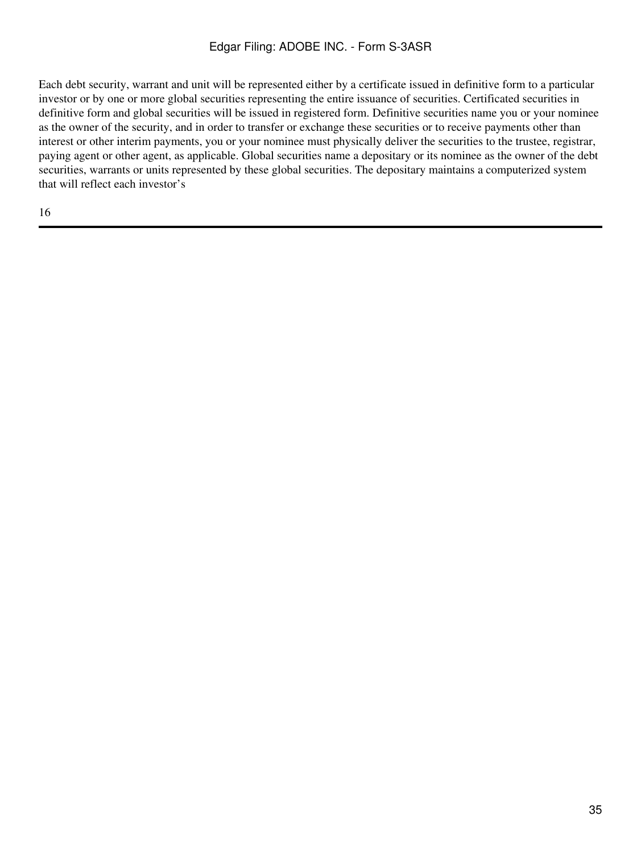Each debt security, warrant and unit will be represented either by a certificate issued in definitive form to a particular investor or by one or more global securities representing the entire issuance of securities. Certificated securities in definitive form and global securities will be issued in registered form. Definitive securities name you or your nominee as the owner of the security, and in order to transfer or exchange these securities or to receive payments other than interest or other interim payments, you or your nominee must physically deliver the securities to the trustee, registrar, paying agent or other agent, as applicable. Global securities name a depositary or its nominee as the owner of the debt securities, warrants or units represented by these global securities. The depositary maintains a computerized system that will reflect each investor's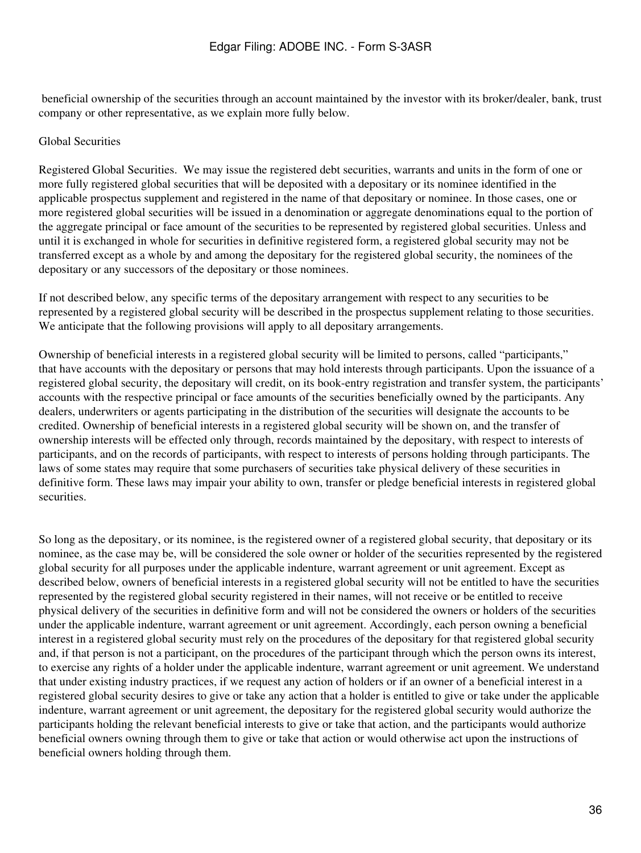beneficial ownership of the securities through an account maintained by the investor with its broker/dealer, bank, trust company or other representative, as we explain more fully below.

### Global Securities

Registered Global Securities. We may issue the registered debt securities, warrants and units in the form of one or more fully registered global securities that will be deposited with a depositary or its nominee identified in the applicable prospectus supplement and registered in the name of that depositary or nominee. In those cases, one or more registered global securities will be issued in a denomination or aggregate denominations equal to the portion of the aggregate principal or face amount of the securities to be represented by registered global securities. Unless and until it is exchanged in whole for securities in definitive registered form, a registered global security may not be transferred except as a whole by and among the depositary for the registered global security, the nominees of the depositary or any successors of the depositary or those nominees.

If not described below, any specific terms of the depositary arrangement with respect to any securities to be represented by a registered global security will be described in the prospectus supplement relating to those securities. We anticipate that the following provisions will apply to all depositary arrangements.

Ownership of beneficial interests in a registered global security will be limited to persons, called "participants," that have accounts with the depositary or persons that may hold interests through participants. Upon the issuance of a registered global security, the depositary will credit, on its book-entry registration and transfer system, the participants' accounts with the respective principal or face amounts of the securities beneficially owned by the participants. Any dealers, underwriters or agents participating in the distribution of the securities will designate the accounts to be credited. Ownership of beneficial interests in a registered global security will be shown on, and the transfer of ownership interests will be effected only through, records maintained by the depositary, with respect to interests of participants, and on the records of participants, with respect to interests of persons holding through participants. The laws of some states may require that some purchasers of securities take physical delivery of these securities in definitive form. These laws may impair your ability to own, transfer or pledge beneficial interests in registered global securities.

So long as the depositary, or its nominee, is the registered owner of a registered global security, that depositary or its nominee, as the case may be, will be considered the sole owner or holder of the securities represented by the registered global security for all purposes under the applicable indenture, warrant agreement or unit agreement. Except as described below, owners of beneficial interests in a registered global security will not be entitled to have the securities represented by the registered global security registered in their names, will not receive or be entitled to receive physical delivery of the securities in definitive form and will not be considered the owners or holders of the securities under the applicable indenture, warrant agreement or unit agreement. Accordingly, each person owning a beneficial interest in a registered global security must rely on the procedures of the depositary for that registered global security and, if that person is not a participant, on the procedures of the participant through which the person owns its interest, to exercise any rights of a holder under the applicable indenture, warrant agreement or unit agreement. We understand that under existing industry practices, if we request any action of holders or if an owner of a beneficial interest in a registered global security desires to give or take any action that a holder is entitled to give or take under the applicable indenture, warrant agreement or unit agreement, the depositary for the registered global security would authorize the participants holding the relevant beneficial interests to give or take that action, and the participants would authorize beneficial owners owning through them to give or take that action or would otherwise act upon the instructions of beneficial owners holding through them.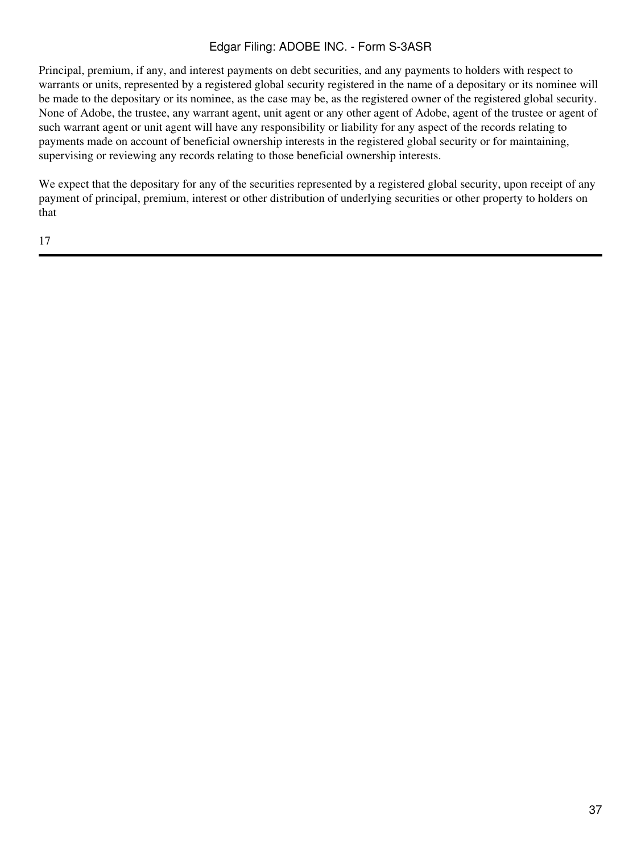Principal, premium, if any, and interest payments on debt securities, and any payments to holders with respect to warrants or units, represented by a registered global security registered in the name of a depositary or its nominee will be made to the depositary or its nominee, as the case may be, as the registered owner of the registered global security. None of Adobe, the trustee, any warrant agent, unit agent or any other agent of Adobe, agent of the trustee or agent of such warrant agent or unit agent will have any responsibility or liability for any aspect of the records relating to payments made on account of beneficial ownership interests in the registered global security or for maintaining, supervising or reviewing any records relating to those beneficial ownership interests.

We expect that the depositary for any of the securities represented by a registered global security, upon receipt of any payment of principal, premium, interest or other distribution of underlying securities or other property to holders on that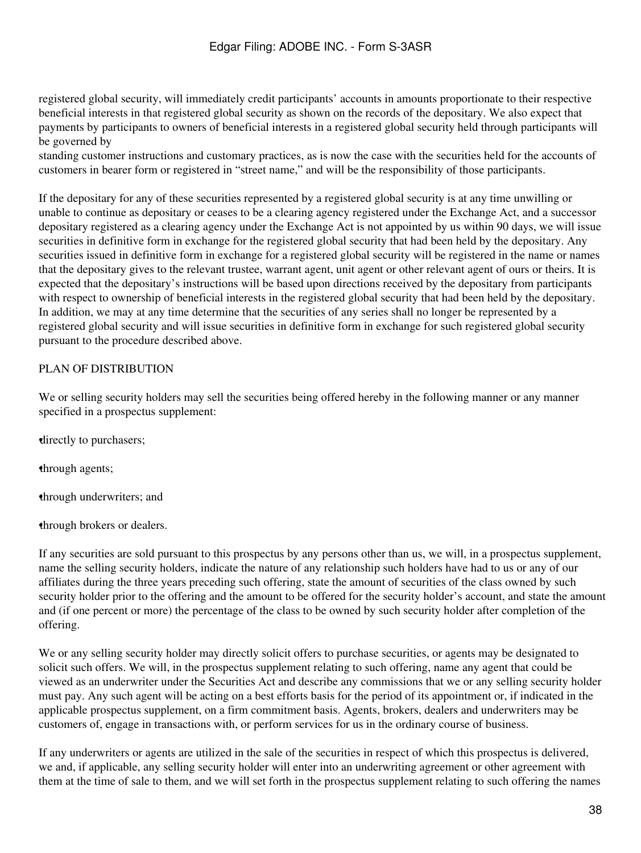registered global security, will immediately credit participants' accounts in amounts proportionate to their respective beneficial interests in that registered global security as shown on the records of the depositary. We also expect that payments by participants to owners of beneficial interests in a registered global security held through participants will be governed by

standing customer instructions and customary practices, as is now the case with the securities held for the accounts of customers in bearer form or registered in "street name," and will be the responsibility of those participants.

If the depositary for any of these securities represented by a registered global security is at any time unwilling or unable to continue as depositary or ceases to be a clearing agency registered under the Exchange Act, and a successor depositary registered as a clearing agency under the Exchange Act is not appointed by us within 90 days, we will issue securities in definitive form in exchange for the registered global security that had been held by the depositary. Any securities issued in definitive form in exchange for a registered global security will be registered in the name or names that the depositary gives to the relevant trustee, warrant agent, unit agent or other relevant agent of ours or theirs. It is expected that the depositary's instructions will be based upon directions received by the depositary from participants with respect to ownership of beneficial interests in the registered global security that had been held by the depositary. In addition, we may at any time determine that the securities of any series shall no longer be represented by a registered global security and will issue securities in definitive form in exchange for such registered global security pursuant to the procedure described above.

## <span id="page-37-0"></span>PLAN OF DISTRIBUTION

We or selling security holders may sell the securities being offered hereby in the following manner or any manner specified in a prospectus supplement:

•directly to purchasers;

•through agents;

•through underwriters; and

•through brokers or dealers.

If any securities are sold pursuant to this prospectus by any persons other than us, we will, in a prospectus supplement, name the selling security holders, indicate the nature of any relationship such holders have had to us or any of our affiliates during the three years preceding such offering, state the amount of securities of the class owned by such security holder prior to the offering and the amount to be offered for the security holder's account, and state the amount and (if one percent or more) the percentage of the class to be owned by such security holder after completion of the offering.

We or any selling security holder may directly solicit offers to purchase securities, or agents may be designated to solicit such offers. We will, in the prospectus supplement relating to such offering, name any agent that could be viewed as an underwriter under the Securities Act and describe any commissions that we or any selling security holder must pay. Any such agent will be acting on a best efforts basis for the period of its appointment or, if indicated in the applicable prospectus supplement, on a firm commitment basis. Agents, brokers, dealers and underwriters may be customers of, engage in transactions with, or perform services for us in the ordinary course of business.

If any underwriters or agents are utilized in the sale of the securities in respect of which this prospectus is delivered, we and, if applicable, any selling security holder will enter into an underwriting agreement or other agreement with them at the time of sale to them, and we will set forth in the prospectus supplement relating to such offering the names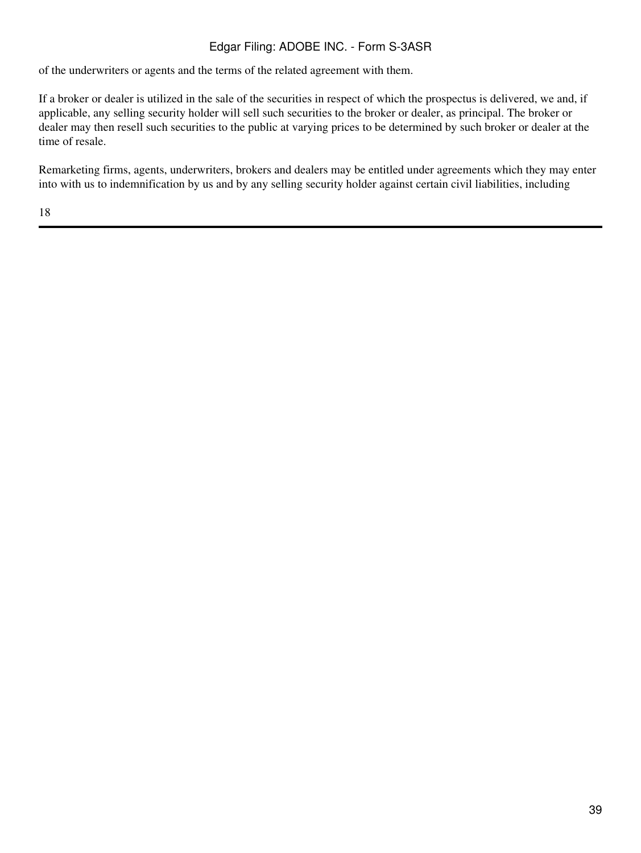of the underwriters or agents and the terms of the related agreement with them.

If a broker or dealer is utilized in the sale of the securities in respect of which the prospectus is delivered, we and, if applicable, any selling security holder will sell such securities to the broker or dealer, as principal. The broker or dealer may then resell such securities to the public at varying prices to be determined by such broker or dealer at the time of resale.

Remarketing firms, agents, underwriters, brokers and dealers may be entitled under agreements which they may enter into with us to indemnification by us and by any selling security holder against certain civil liabilities, including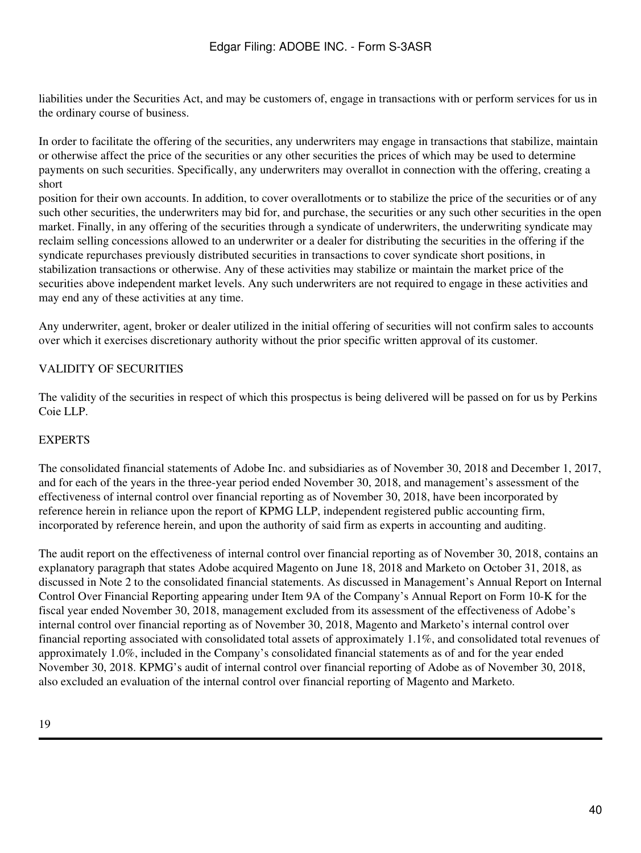liabilities under the Securities Act, and may be customers of, engage in transactions with or perform services for us in the ordinary course of business.

In order to facilitate the offering of the securities, any underwriters may engage in transactions that stabilize, maintain or otherwise affect the price of the securities or any other securities the prices of which may be used to determine payments on such securities. Specifically, any underwriters may overallot in connection with the offering, creating a short

position for their own accounts. In addition, to cover overallotments or to stabilize the price of the securities or of any such other securities, the underwriters may bid for, and purchase, the securities or any such other securities in the open market. Finally, in any offering of the securities through a syndicate of underwriters, the underwriting syndicate may reclaim selling concessions allowed to an underwriter or a dealer for distributing the securities in the offering if the syndicate repurchases previously distributed securities in transactions to cover syndicate short positions, in stabilization transactions or otherwise. Any of these activities may stabilize or maintain the market price of the securities above independent market levels. Any such underwriters are not required to engage in these activities and may end any of these activities at any time.

Any underwriter, agent, broker or dealer utilized in the initial offering of securities will not confirm sales to accounts over which it exercises discretionary authority without the prior specific written approval of its customer.

# <span id="page-39-0"></span>VALIDITY OF SECURITIES

The validity of the securities in respect of which this prospectus is being delivered will be passed on for us by Perkins Coie LLP.

## <span id="page-39-1"></span>EXPERTS

The consolidated financial statements of Adobe Inc. and subsidiaries as of November 30, 2018 and December 1, 2017, and for each of the years in the three-year period ended November 30, 2018, and management's assessment of the effectiveness of internal control over financial reporting as of November 30, 2018, have been incorporated by reference herein in reliance upon the report of KPMG LLP, independent registered public accounting firm, incorporated by reference herein, and upon the authority of said firm as experts in accounting and auditing.

The audit report on the effectiveness of internal control over financial reporting as of November 30, 2018, contains an explanatory paragraph that states Adobe acquired Magento on June 18, 2018 and Marketo on October 31, 2018, as discussed in Note 2 to the consolidated financial statements. As discussed in Management's Annual Report on Internal Control Over Financial Reporting appearing under Item 9A of the Company's Annual Report on Form 10-K for the fiscal year ended November 30, 2018, management excluded from its assessment of the effectiveness of Adobe's internal control over financial reporting as of November 30, 2018, Magento and Marketo's internal control over financial reporting associated with consolidated total assets of approximately 1.1%, and consolidated total revenues of approximately 1.0%, included in the Company's consolidated financial statements as of and for the year ended November 30, 2018. KPMG's audit of internal control over financial reporting of Adobe as of November 30, 2018, also excluded an evaluation of the internal control over financial reporting of Magento and Marketo.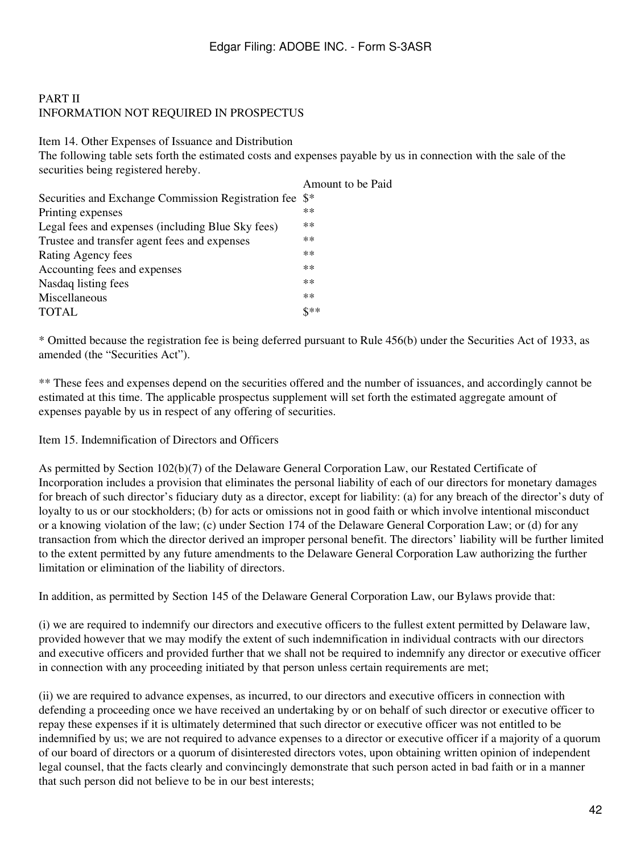# PART II INFORMATION NOT REQUIRED IN PROSPECTUS

Item 14. Other Expenses of Issuance and Distribution

The following table sets forth the estimated costs and expenses payable by us in connection with the sale of the securities being registered hereby.

|                                                     | Amount to be Paid |
|-----------------------------------------------------|-------------------|
| Securities and Exchange Commission Registration fee | $\mathbb{S}^*$    |
| Printing expenses                                   | $**$              |
| Legal fees and expenses (including Blue Sky fees)   | $**$              |
| Trustee and transfer agent fees and expenses        | $**$              |
| Rating Agency fees                                  | $**$              |
| Accounting fees and expenses                        | $**$              |
| Nasdaq listing fees                                 | $**$              |
| Miscellaneous                                       | $**$              |
| TOTAL                                               | $$***$            |
|                                                     |                   |

\* Omitted because the registration fee is being deferred pursuant to Rule 456(b) under the Securities Act of 1933, as amended (the "Securities Act").

\*\* These fees and expenses depend on the securities offered and the number of issuances, and accordingly cannot be estimated at this time. The applicable prospectus supplement will set forth the estimated aggregate amount of expenses payable by us in respect of any offering of securities.

## Item 15. Indemnification of Directors and Officers

As permitted by Section 102(b)(7) of the Delaware General Corporation Law, our Restated Certificate of Incorporation includes a provision that eliminates the personal liability of each of our directors for monetary damages for breach of such director's fiduciary duty as a director, except for liability: (a) for any breach of the director's duty of loyalty to us or our stockholders; (b) for acts or omissions not in good faith or which involve intentional misconduct or a knowing violation of the law; (c) under Section 174 of the Delaware General Corporation Law; or (d) for any transaction from which the director derived an improper personal benefit. The directors' liability will be further limited to the extent permitted by any future amendments to the Delaware General Corporation Law authorizing the further limitation or elimination of the liability of directors.

In addition, as permitted by Section 145 of the Delaware General Corporation Law, our Bylaws provide that:

(i) we are required to indemnify our directors and executive officers to the fullest extent permitted by Delaware law, provided however that we may modify the extent of such indemnification in individual contracts with our directors and executive officers and provided further that we shall not be required to indemnify any director or executive officer in connection with any proceeding initiated by that person unless certain requirements are met;

(ii) we are required to advance expenses, as incurred, to our directors and executive officers in connection with defending a proceeding once we have received an undertaking by or on behalf of such director or executive officer to repay these expenses if it is ultimately determined that such director or executive officer was not entitled to be indemnified by us; we are not required to advance expenses to a director or executive officer if a majority of a quorum of our board of directors or a quorum of disinterested directors votes, upon obtaining written opinion of independent legal counsel, that the facts clearly and convincingly demonstrate that such person acted in bad faith or in a manner that such person did not believe to be in our best interests;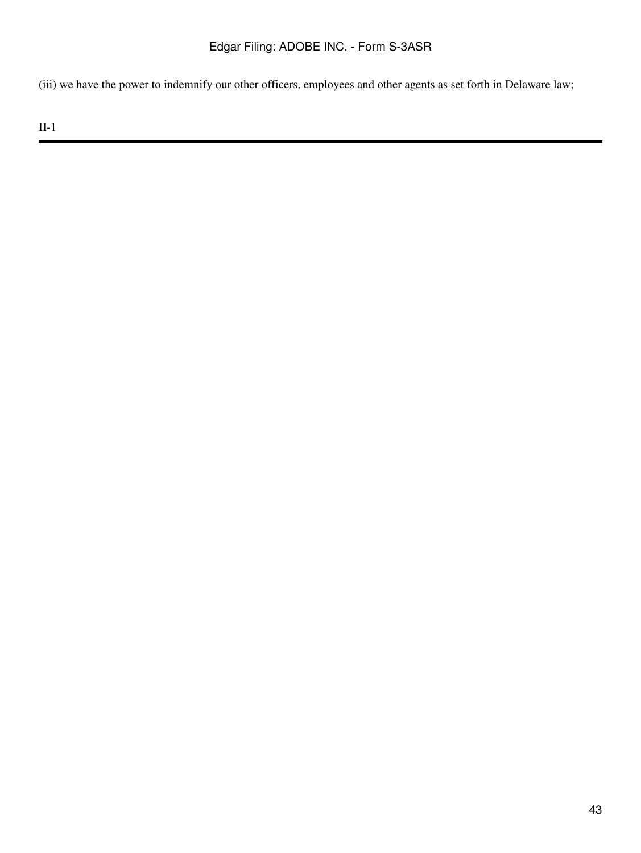(iii) we have the power to indemnify our other officers, employees and other agents as set forth in Delaware law;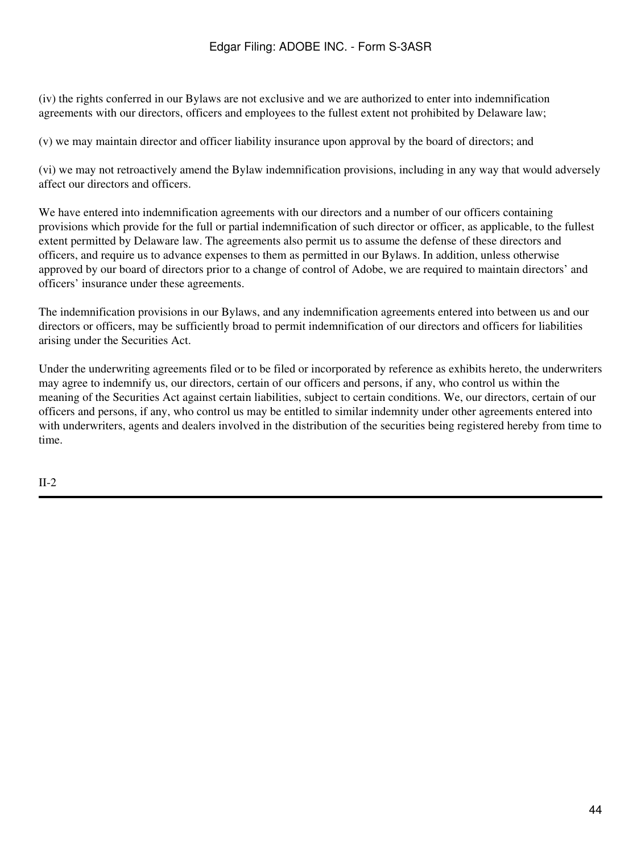(iv) the rights conferred in our Bylaws are not exclusive and we are authorized to enter into indemnification agreements with our directors, officers and employees to the fullest extent not prohibited by Delaware law;

(v) we may maintain director and officer liability insurance upon approval by the board of directors; and

(vi) we may not retroactively amend the Bylaw indemnification provisions, including in any way that would adversely affect our directors and officers.

We have entered into indemnification agreements with our directors and a number of our officers containing provisions which provide for the full or partial indemnification of such director or officer, as applicable, to the fullest extent permitted by Delaware law. The agreements also permit us to assume the defense of these directors and officers, and require us to advance expenses to them as permitted in our Bylaws. In addition, unless otherwise approved by our board of directors prior to a change of control of Adobe, we are required to maintain directors' and officers' insurance under these agreements.

The indemnification provisions in our Bylaws, and any indemnification agreements entered into between us and our directors or officers, may be sufficiently broad to permit indemnification of our directors and officers for liabilities arising under the Securities Act.

Under the underwriting agreements filed or to be filed or incorporated by reference as exhibits hereto, the underwriters may agree to indemnify us, our directors, certain of our officers and persons, if any, who control us within the meaning of the Securities Act against certain liabilities, subject to certain conditions. We, our directors, certain of our officers and persons, if any, who control us may be entitled to similar indemnity under other agreements entered into with underwriters, agents and dealers involved in the distribution of the securities being registered hereby from time to time.

II-2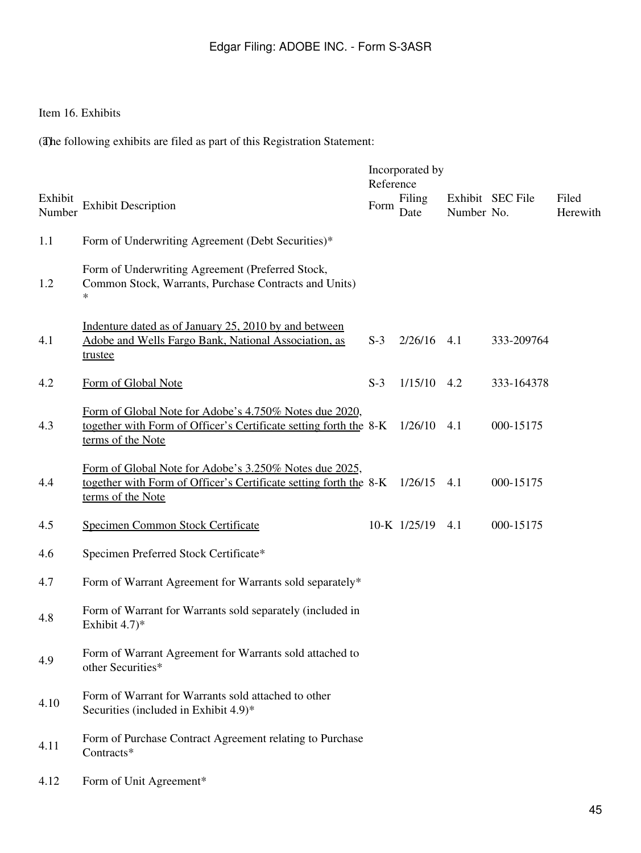# Item 16. Exhibits

(The following exhibits are filed as part of this Registration Statement:

|                   |                                                                                                                                                  | Reference | Incorporated by |            |                  |                   |
|-------------------|--------------------------------------------------------------------------------------------------------------------------------------------------|-----------|-----------------|------------|------------------|-------------------|
| Exhibit<br>Number | <b>Exhibit Description</b>                                                                                                                       | Form      | Filing<br>Date  | Number No. | Exhibit SEC File | Filed<br>Herewith |
| 1.1               | Form of Underwriting Agreement (Debt Securities)*                                                                                                |           |                 |            |                  |                   |
| 1.2               | Form of Underwriting Agreement (Preferred Stock,<br>Common Stock, Warrants, Purchase Contracts and Units)<br>$\ast$                              |           |                 |            |                  |                   |
| 4.1               | Indenture dated as of January 25, 2010 by and between<br>Adobe and Wells Fargo Bank, National Association, as<br>trustee                         | $S-3$     | 2/26/16         | 4.1        | 333-209764       |                   |
| 4.2               | Form of Global Note                                                                                                                              | $S-3$     | 1/15/10         | 4.2        | 333-164378       |                   |
| 4.3               | Form of Global Note for Adobe's 4.750% Notes due 2020,<br>together with Form of Officer's Certificate setting forth the 8-K<br>terms of the Note |           | 1/26/10         | 4.1        | 000-15175        |                   |
| 4.4               | Form of Global Note for Adobe's 3.250% Notes due 2025,<br>together with Form of Officer's Certificate setting forth the 8-K<br>terms of the Note |           | 1/26/15         | 4.1        | 000-15175        |                   |
| 4.5               | Specimen Common Stock Certificate                                                                                                                |           | 10-K 1/25/19    | 4.1        | 000-15175        |                   |
| 4.6               | Specimen Preferred Stock Certificate*                                                                                                            |           |                 |            |                  |                   |
| 4.7               | Form of Warrant Agreement for Warrants sold separately*                                                                                          |           |                 |            |                  |                   |
| 4.8               | Form of Warrant for Warrants sold separately (included in<br>Exhibit $4.7$ <sup>*</sup>                                                          |           |                 |            |                  |                   |
| 4.9               | Form of Warrant Agreement for Warrants sold attached to<br>other Securities*                                                                     |           |                 |            |                  |                   |
| 4.10              | Form of Warrant for Warrants sold attached to other<br>Securities (included in Exhibit 4.9)*                                                     |           |                 |            |                  |                   |
| 4.11              | Form of Purchase Contract Agreement relating to Purchase<br>Contracts*                                                                           |           |                 |            |                  |                   |
| 4.12              | Form of Unit Agreement*                                                                                                                          |           |                 |            |                  |                   |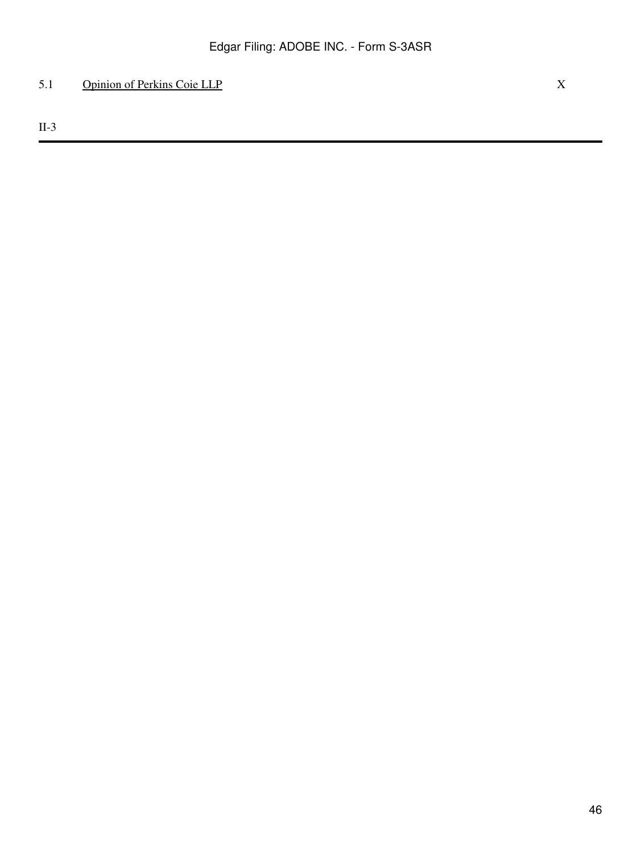# 5.1 Opinion of Perkins Coie LLP X

II-3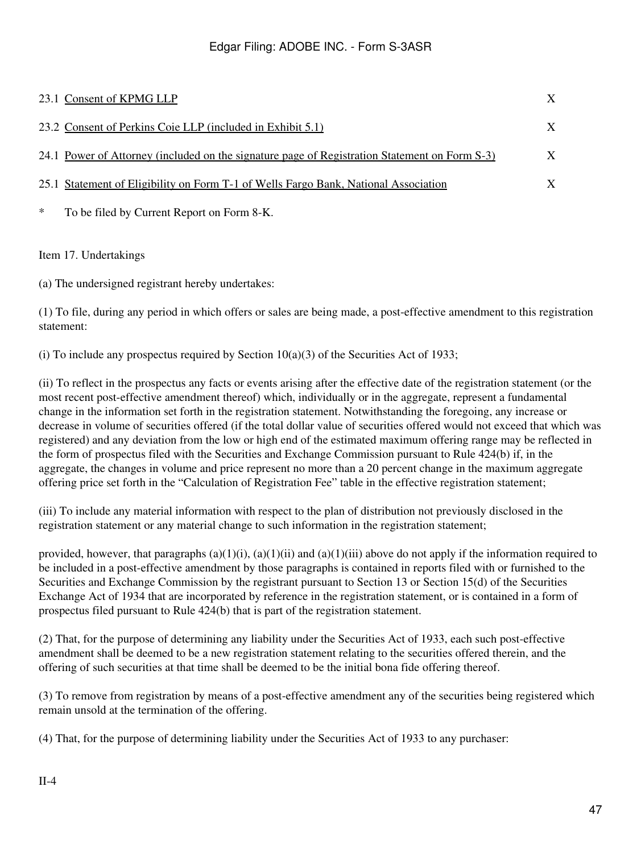|        | 23.1 Consent of KPMG LLP                                                                      | X |
|--------|-----------------------------------------------------------------------------------------------|---|
|        | 23.2 Consent of Perkins Coie LLP (included in Exhibit 5.1)                                    | X |
|        | 24.1 Power of Attorney (included on the signature page of Registration Statement on Form S-3) | X |
|        | 25.1 Statement of Eligibility on Form T-1 of Wells Fargo Bank, National Association           | X |
| $\ast$ | To be filed by Current Report on Form 8-K.                                                    |   |

## Item 17. Undertakings

(a) The undersigned registrant hereby undertakes:

(1) To file, during any period in which offers or sales are being made, a post-effective amendment to this registration statement:

(i) To include any prospectus required by Section  $10(a)(3)$  of the Securities Act of 1933;

(ii) To reflect in the prospectus any facts or events arising after the effective date of the registration statement (or the most recent post-effective amendment thereof) which, individually or in the aggregate, represent a fundamental change in the information set forth in the registration statement. Notwithstanding the foregoing, any increase or decrease in volume of securities offered (if the total dollar value of securities offered would not exceed that which was registered) and any deviation from the low or high end of the estimated maximum offering range may be reflected in the form of prospectus filed with the Securities and Exchange Commission pursuant to Rule 424(b) if, in the aggregate, the changes in volume and price represent no more than a 20 percent change in the maximum aggregate offering price set forth in the "Calculation of Registration Fee" table in the effective registration statement;

(iii) To include any material information with respect to the plan of distribution not previously disclosed in the registration statement or any material change to such information in the registration statement;

provided, however, that paragraphs  $(a)(1)(i)$ ,  $(a)(1)(ii)$  and  $(a)(1)(iii)$  above do not apply if the information required to be included in a post-effective amendment by those paragraphs is contained in reports filed with or furnished to the Securities and Exchange Commission by the registrant pursuant to Section 13 or Section 15(d) of the Securities Exchange Act of 1934 that are incorporated by reference in the registration statement, or is contained in a form of prospectus filed pursuant to Rule 424(b) that is part of the registration statement.

(2) That, for the purpose of determining any liability under the Securities Act of 1933, each such post-effective amendment shall be deemed to be a new registration statement relating to the securities offered therein, and the offering of such securities at that time shall be deemed to be the initial bona fide offering thereof.

(3) To remove from registration by means of a post-effective amendment any of the securities being registered which remain unsold at the termination of the offering.

(4) That, for the purpose of determining liability under the Securities Act of 1933 to any purchaser: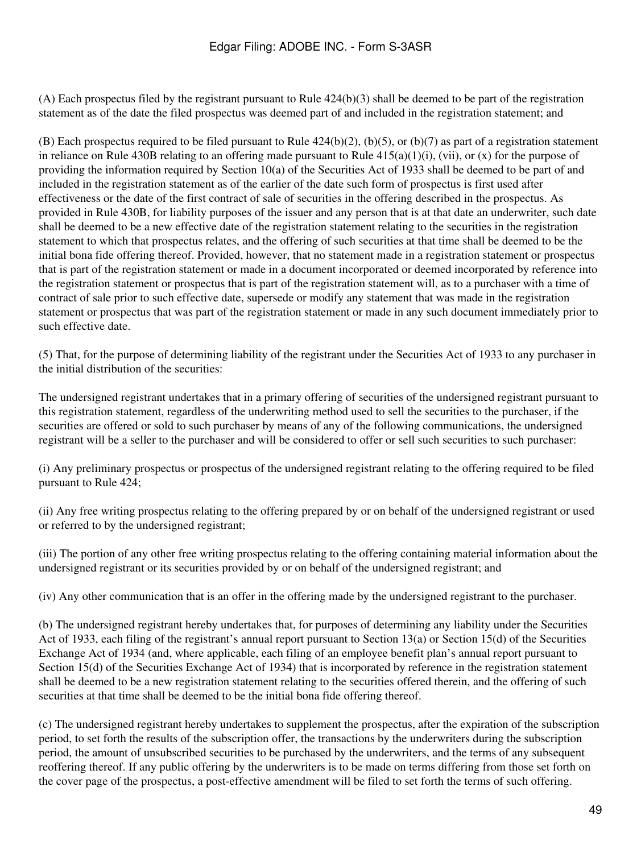(A) Each prospectus filed by the registrant pursuant to Rule 424(b)(3) shall be deemed to be part of the registration statement as of the date the filed prospectus was deemed part of and included in the registration statement; and

(B) Each prospectus required to be filed pursuant to Rule  $424(b)(2)$ , (b)(5), or (b)(7) as part of a registration statement in reliance on Rule 430B relating to an offering made pursuant to Rule  $415(a)(1)(i)$ , (vii), or (x) for the purpose of providing the information required by Section 10(a) of the Securities Act of 1933 shall be deemed to be part of and included in the registration statement as of the earlier of the date such form of prospectus is first used after effectiveness or the date of the first contract of sale of securities in the offering described in the prospectus. As provided in Rule 430B, for liability purposes of the issuer and any person that is at that date an underwriter, such date shall be deemed to be a new effective date of the registration statement relating to the securities in the registration statement to which that prospectus relates, and the offering of such securities at that time shall be deemed to be the initial bona fide offering thereof. Provided, however, that no statement made in a registration statement or prospectus that is part of the registration statement or made in a document incorporated or deemed incorporated by reference into the registration statement or prospectus that is part of the registration statement will, as to a purchaser with a time of contract of sale prior to such effective date, supersede or modify any statement that was made in the registration statement or prospectus that was part of the registration statement or made in any such document immediately prior to such effective date.

(5) That, for the purpose of determining liability of the registrant under the Securities Act of 1933 to any purchaser in the initial distribution of the securities:

The undersigned registrant undertakes that in a primary offering of securities of the undersigned registrant pursuant to this registration statement, regardless of the underwriting method used to sell the securities to the purchaser, if the securities are offered or sold to such purchaser by means of any of the following communications, the undersigned registrant will be a seller to the purchaser and will be considered to offer or sell such securities to such purchaser:

(i) Any preliminary prospectus or prospectus of the undersigned registrant relating to the offering required to be filed pursuant to Rule 424;

(ii) Any free writing prospectus relating to the offering prepared by or on behalf of the undersigned registrant or used or referred to by the undersigned registrant;

(iii) The portion of any other free writing prospectus relating to the offering containing material information about the undersigned registrant or its securities provided by or on behalf of the undersigned registrant; and

(iv) Any other communication that is an offer in the offering made by the undersigned registrant to the purchaser.

(b) The undersigned registrant hereby undertakes that, for purposes of determining any liability under the Securities Act of 1933, each filing of the registrant's annual report pursuant to Section 13(a) or Section 15(d) of the Securities Exchange Act of 1934 (and, where applicable, each filing of an employee benefit plan's annual report pursuant to Section 15(d) of the Securities Exchange Act of 1934) that is incorporated by reference in the registration statement shall be deemed to be a new registration statement relating to the securities offered therein, and the offering of such securities at that time shall be deemed to be the initial bona fide offering thereof.

(c) The undersigned registrant hereby undertakes to supplement the prospectus, after the expiration of the subscription period, to set forth the results of the subscription offer, the transactions by the underwriters during the subscription period, the amount of unsubscribed securities to be purchased by the underwriters, and the terms of any subsequent reoffering thereof. If any public offering by the underwriters is to be made on terms differing from those set forth on the cover page of the prospectus, a post-effective amendment will be filed to set forth the terms of such offering.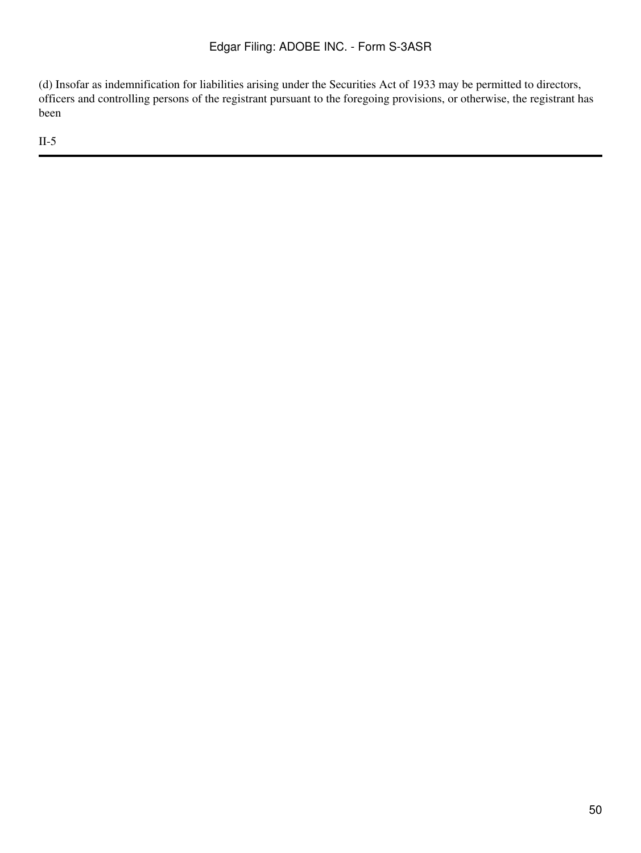(d) Insofar as indemnification for liabilities arising under the Securities Act of 1933 may be permitted to directors, officers and controlling persons of the registrant pursuant to the foregoing provisions, or otherwise, the registrant has been

II-5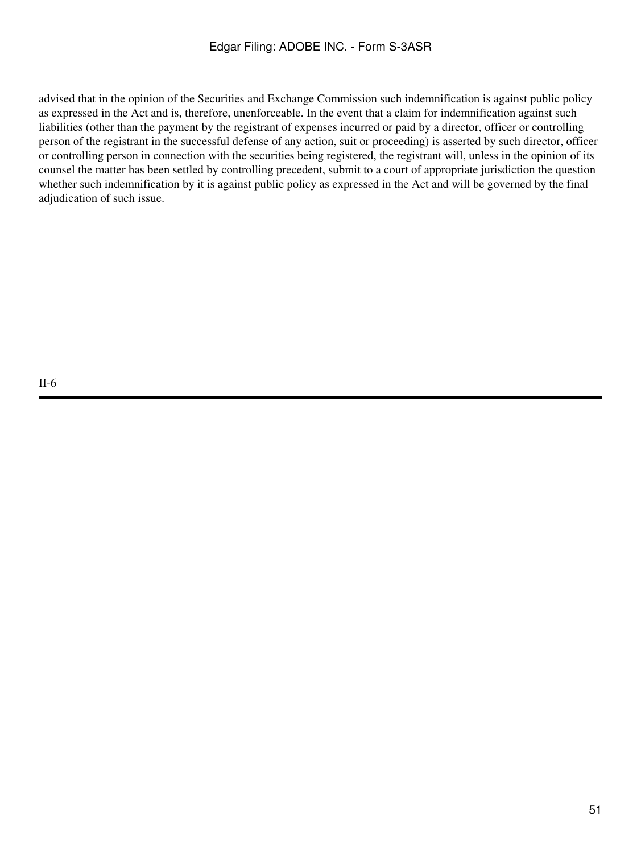advised that in the opinion of the Securities and Exchange Commission such indemnification is against public policy as expressed in the Act and is, therefore, unenforceable. In the event that a claim for indemnification against such liabilities (other than the payment by the registrant of expenses incurred or paid by a director, officer or controlling person of the registrant in the successful defense of any action, suit or proceeding) is asserted by such director, officer or controlling person in connection with the securities being registered, the registrant will, unless in the opinion of its counsel the matter has been settled by controlling precedent, submit to a court of appropriate jurisdiction the question whether such indemnification by it is against public policy as expressed in the Act and will be governed by the final adjudication of such issue.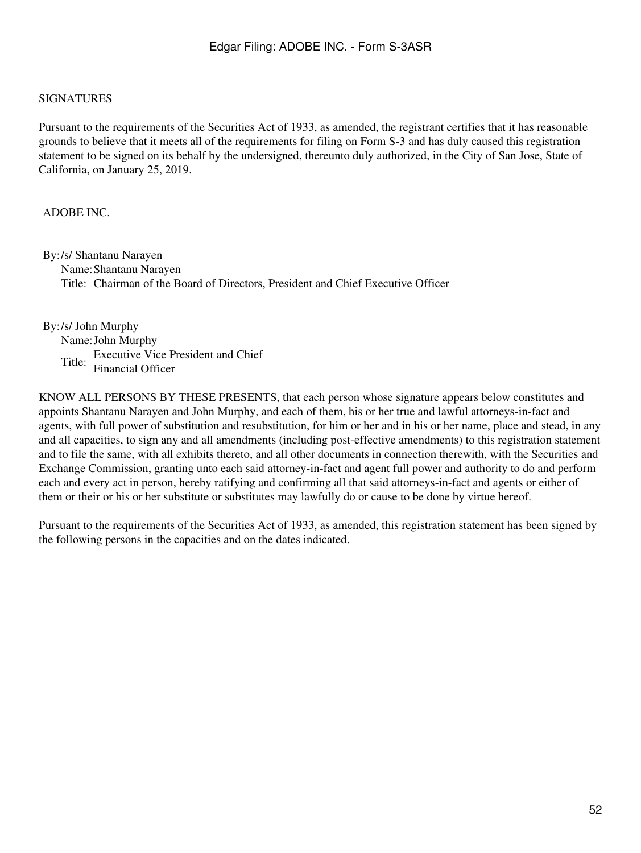#### <span id="page-51-0"></span>SIGNATURES

Pursuant to the requirements of the Securities Act of 1933, as amended, the registrant certifies that it has reasonable grounds to believe that it meets all of the requirements for filing on Form S-3 and has duly caused this registration statement to be signed on its behalf by the undersigned, thereunto duly authorized, in the City of San Jose, State of California, on January 25, 2019.

#### ADOBE INC.

By:/s/ Shantanu Narayen Name:Shantanu Narayen Title: Chairman of the Board of Directors, President and Chief Executive Officer

By:/s/ John Murphy Name:John Murphy Title: Executive Vice President and Chief Financial Officer

KNOW ALL PERSONS BY THESE PRESENTS, that each person whose signature appears below constitutes and appoints Shantanu Narayen and John Murphy, and each of them, his or her true and lawful attorneys-in-fact and agents, with full power of substitution and resubstitution, for him or her and in his or her name, place and stead, in any and all capacities, to sign any and all amendments (including post-effective amendments) to this registration statement and to file the same, with all exhibits thereto, and all other documents in connection therewith, with the Securities and Exchange Commission, granting unto each said attorney-in-fact and agent full power and authority to do and perform each and every act in person, hereby ratifying and confirming all that said attorneys-in-fact and agents or either of them or their or his or her substitute or substitutes may lawfully do or cause to be done by virtue hereof.

Pursuant to the requirements of the Securities Act of 1933, as amended, this registration statement has been signed by the following persons in the capacities and on the dates indicated.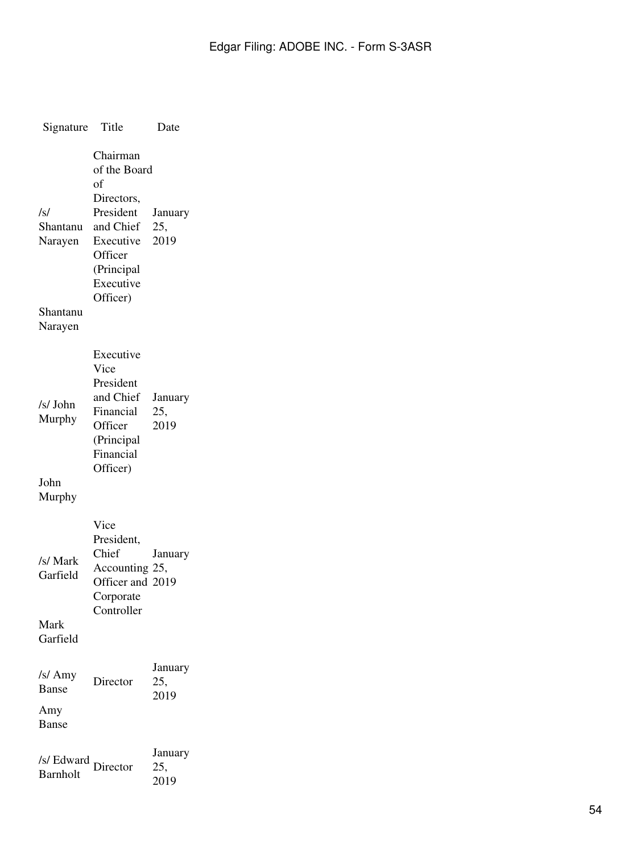| Signature                                         | Title                                                                                                                                 | Date                   |
|---------------------------------------------------|---------------------------------------------------------------------------------------------------------------------------------------|------------------------|
| /s/<br>Shantanu<br>Narayen<br>Shantanu<br>Narayen | Chairman<br>of the Board<br>of<br>Directors,<br>President<br>and Chief<br>Executive<br>Officer<br>(Principal<br>Executive<br>Officer) | January<br>25,<br>2019 |
| /s/ John<br>Murphy<br>John<br>Murphy              | Executive<br>Vice<br>President<br>and Chief<br>Financial<br>Officer<br>(Principal<br>Financial<br>Officer)                            | January<br>25,<br>2019 |
| /s/ Mark<br>Garfield<br>Mark<br>Garfield          | Vice<br>President,<br>Chief<br>Accounting 25,<br>Officer and 2019<br>Corporate<br>Controller                                          | January                |
| /s/ Amy<br><b>Banse</b><br>Amy<br>Banse           | Director                                                                                                                              | January<br>25,<br>2019 |
| /s/ Edward<br><b>Barnholt</b>                     | Director                                                                                                                              | January<br>25,<br>2019 |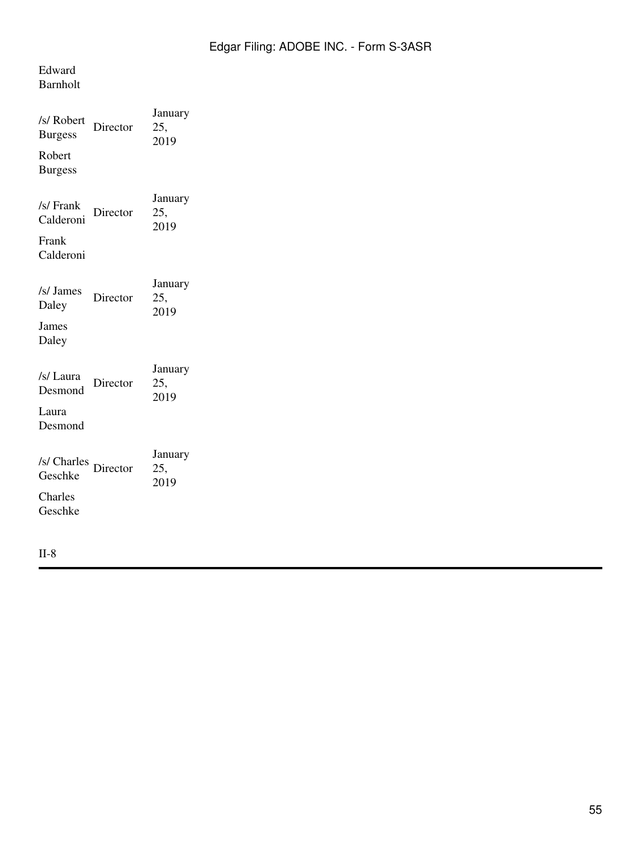## Edward Barnholt

| Director | January<br>25,<br>2019 |
|----------|------------------------|
| Director | January<br>25,<br>2019 |
| Director | January<br>25,<br>2019 |
| Director | January<br>25,<br>2019 |
| Director | January<br>25,<br>2019 |
|          |                        |

II-8